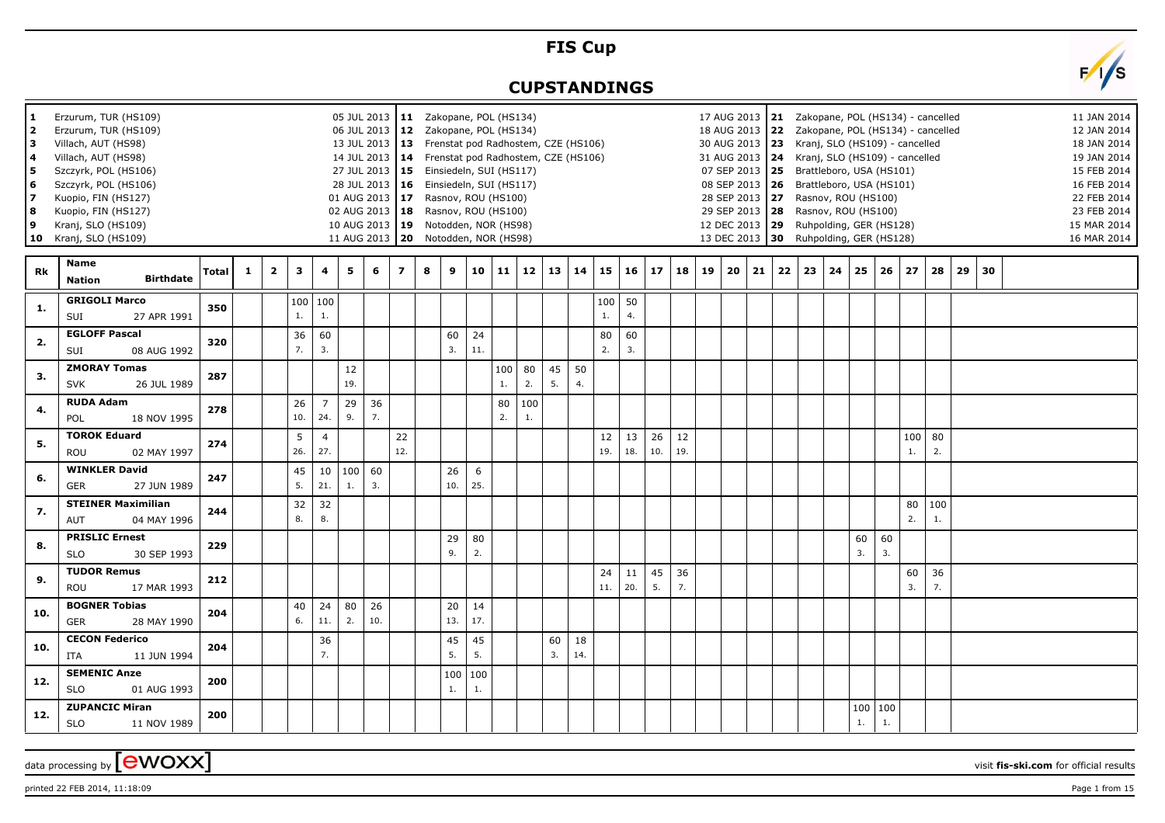## **FIS Cup**

## **CUPSTANDINGS**



printed 22 FEB 2014, 11:18:09 Page 1 from 15

 $\alpha$  data processing by  $\boxed{\text{ewOXX}}$ 

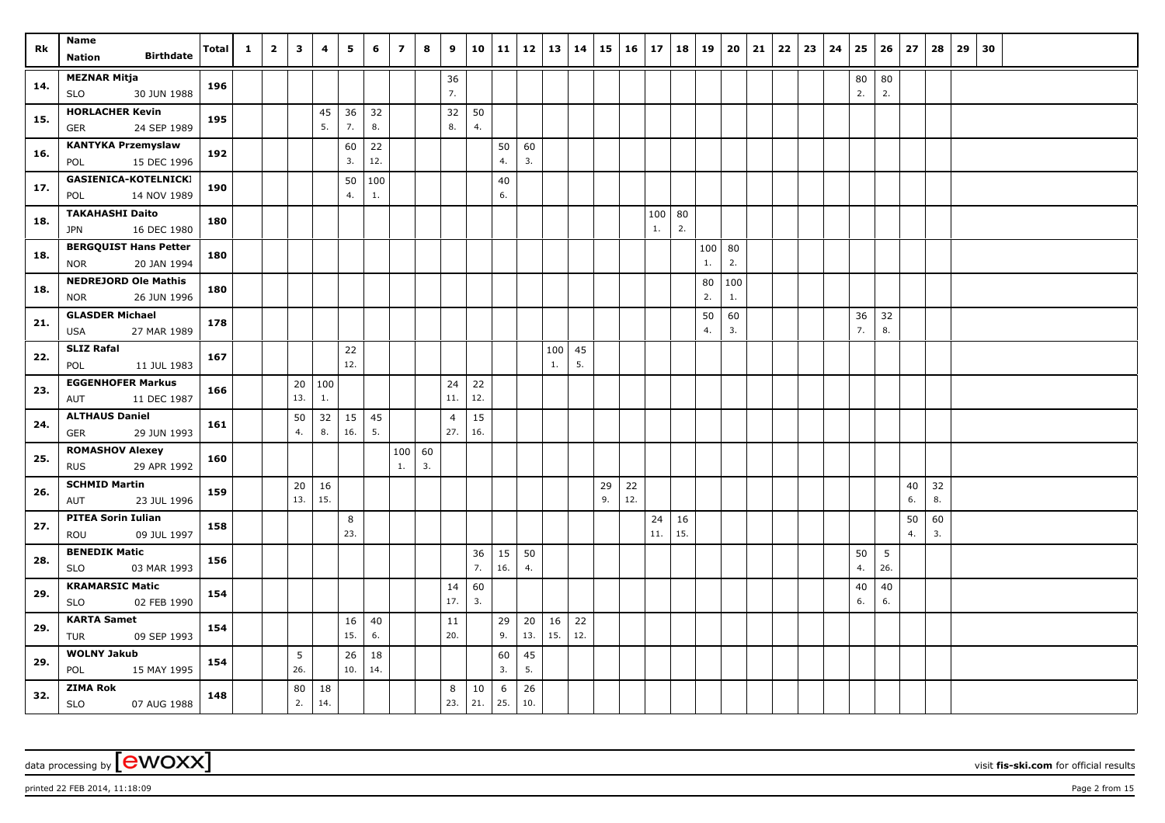| Rk  | Name<br><b>Birthdate</b><br><b>Nation</b>           | <b>Total</b> | $\mathbf{1}$ | $\overline{2}$ | 3   | 4   | 5         | 6   | $\overline{z}$ | 8  | 9              | 10       | 11        | $12 \mid 13$ |           | 14       | 15 | $16 \mid$ | 17  | 18  | 19       | 20       | 21 | 22 | 23 | 24 | 25       | 26       | 27 | 28 | 29 | 30 |  |  |
|-----|-----------------------------------------------------|--------------|--------------|----------------|-----|-----|-----------|-----|----------------|----|----------------|----------|-----------|--------------|-----------|----------|----|-----------|-----|-----|----------|----------|----|----|----|----|----------|----------|----|----|----|----|--|--|
|     | <b>MEZNAR Mitja</b>                                 |              |              |                |     |     |           |     |                |    |                |          |           |              |           |          |    |           |     |     |          |          |    |    |    |    |          |          |    |    |    |    |  |  |
| 14. | 30 JUN 1988<br><b>SLO</b>                           | 196          |              |                |     |     |           |     |                |    | 36<br>7.       |          |           |              |           |          |    |           |     |     |          |          |    |    |    |    | 80<br>2. | 80<br>2. |    |    |    |    |  |  |
|     | <b>HORLACHER Kevin</b>                              |              |              |                |     | 45  | 36        | 32  |                |    | 32             | 50       |           |              |           |          |    |           |     |     |          |          |    |    |    |    |          |          |    |    |    |    |  |  |
| 15. | 24 SEP 1989<br>GER                                  | 195          |              |                |     | 5.  | 7.        | 8.  |                |    | 8.             | 4.       |           |              |           |          |    |           |     |     |          |          |    |    |    |    |          |          |    |    |    |    |  |  |
|     | <b>KANTYKA Przemyslaw</b>                           |              |              |                |     |     | 60        | 22  |                |    |                |          | 50        | 60           |           |          |    |           |     |     |          |          |    |    |    |    |          |          |    |    |    |    |  |  |
| 16. | 15 DEC 1996<br>POL                                  | 192          |              |                |     |     | 3.        | 12. |                |    |                |          | 4.        | 3.           |           |          |    |           |     |     |          |          |    |    |    |    |          |          |    |    |    |    |  |  |
| 17. | GASIENICA-KOTELNICKI                                | 190          |              |                |     |     | 50        | 100 |                |    |                |          | 40        |              |           |          |    |           |     |     |          |          |    |    |    |    |          |          |    |    |    |    |  |  |
|     | 14 NOV 1989<br>POL                                  |              |              |                |     |     | 4.        | 1.  |                |    |                |          | 6.        |              |           |          |    |           |     |     |          |          |    |    |    |    |          |          |    |    |    |    |  |  |
| 18. | <b>TAKAHASHI Daito</b>                              | 180          |              |                |     |     |           |     |                |    |                |          |           |              |           |          |    |           | 100 | 80  |          |          |    |    |    |    |          |          |    |    |    |    |  |  |
|     | 16 DEC 1980<br>JPN                                  |              |              |                |     |     |           |     |                |    |                |          |           |              |           |          |    |           | 1.  | 2.  |          |          |    |    |    |    |          |          |    |    |    |    |  |  |
| 18. | <b>BERGQUIST Hans Petter</b>                        | 180          |              |                |     |     |           |     |                |    |                |          |           |              |           |          |    |           |     |     | 100      | 80       |    |    |    |    |          |          |    |    |    |    |  |  |
|     | <b>NOR</b><br>20 JAN 1994                           |              |              |                |     |     |           |     |                |    |                |          |           |              |           |          |    |           |     |     | $1.$     | 2.       |    |    |    |    |          |          |    |    |    |    |  |  |
| 18. | <b>NEDREJORD Ole Mathis</b>                         | 180          |              |                |     |     |           |     |                |    |                |          |           |              |           |          |    |           |     |     | 80       | 100      |    |    |    |    |          |          |    |    |    |    |  |  |
|     | 26 JUN 1996<br><b>NOR</b>                           |              |              |                |     |     |           |     |                |    |                |          |           |              |           |          |    |           |     |     | 2.       | 1.       |    |    |    |    |          |          |    |    |    |    |  |  |
| 21. | <b>GLASDER Michael</b>                              | 178          |              |                |     |     |           |     |                |    |                |          |           |              |           |          |    |           |     |     | 50<br>4. | 60<br>3. |    |    |    |    | 36<br>7. | 32<br>8. |    |    |    |    |  |  |
|     | <b>USA</b><br>27 MAR 1989<br><b>SLIZ Rafal</b>      |              |              |                |     |     |           |     |                |    |                |          |           |              |           |          |    |           |     |     |          |          |    |    |    |    |          |          |    |    |    |    |  |  |
| 22. | POL<br>11 JUL 1983                                  | 167          |              |                |     |     | 22<br>12. |     |                |    |                |          |           |              | 100<br>1. | 45<br>5. |    |           |     |     |          |          |    |    |    |    |          |          |    |    |    |    |  |  |
|     | <b>EGGENHOFER Markus</b>                            |              |              |                | 20  | 100 |           |     |                |    | 24             | 22       |           |              |           |          |    |           |     |     |          |          |    |    |    |    |          |          |    |    |    |    |  |  |
| 23. | 11 DEC 1987<br>AUT                                  | 166          |              |                | 13. | 1.  |           |     |                |    | 11.            | 12.      |           |              |           |          |    |           |     |     |          |          |    |    |    |    |          |          |    |    |    |    |  |  |
|     | <b>ALTHAUS Daniel</b>                               |              |              |                | 50  | 32  | 15        | 45  |                |    | $\overline{4}$ | 15       |           |              |           |          |    |           |     |     |          |          |    |    |    |    |          |          |    |    |    |    |  |  |
| 24. | GER<br>29 JUN 1993                                  | 161          |              |                | 4.  | 8.  | 16.       | 5.  |                |    | 27.            | 16.      |           |              |           |          |    |           |     |     |          |          |    |    |    |    |          |          |    |    |    |    |  |  |
| 25. | <b>ROMASHOV Alexey</b>                              | 160          |              |                |     |     |           |     | 100            | 60 |                |          |           |              |           |          |    |           |     |     |          |          |    |    |    |    |          |          |    |    |    |    |  |  |
|     | 29 APR 1992<br><b>RUS</b>                           |              |              |                |     |     |           |     | 1.             | 3. |                |          |           |              |           |          |    |           |     |     |          |          |    |    |    |    |          |          |    |    |    |    |  |  |
| 26. | <b>SCHMID Martin</b>                                | 159          |              |                | 20  | 16  |           |     |                |    |                |          |           |              |           |          | 29 | 22        |     |     |          |          |    |    |    |    |          |          | 40 | 32 |    |    |  |  |
|     | 23 JUL 1996<br>AUT                                  |              |              |                | 13. | 15. |           |     |                |    |                |          |           |              |           |          | 9. | 12.       |     |     |          |          |    |    |    |    |          |          | 6. | 8. |    |    |  |  |
| 27. | <b>PITEA Sorin Iulian</b>                           | 158          |              |                |     |     | 8         |     |                |    |                |          |           |              |           |          |    |           | 24  | 16  |          |          |    |    |    |    |          |          | 50 | 60 |    |    |  |  |
|     | 09 JUL 1997<br>ROU                                  |              |              |                |     |     | 23.       |     |                |    |                |          |           |              |           |          |    |           | 11. | 15. |          |          |    |    |    |    |          |          | 4. | 3. |    |    |  |  |
| 28. | <b>BENEDIK Matic</b>                                | 156          |              |                |     |     |           |     |                |    |                | 36<br>7. | 15<br>16. | 50<br>4.     |           |          |    |           |     |     |          |          |    |    |    |    | 50<br>4. | 5<br>26. |    |    |    |    |  |  |
|     | <b>SLO</b><br>03 MAR 1993                           |              |              |                |     |     |           |     |                |    |                |          |           |              |           |          |    |           |     |     |          |          |    |    |    |    |          |          |    |    |    |    |  |  |
| 29. | <b>KRAMARSIC Matic</b><br>02 FEB 1990<br><b>SLO</b> | 154          |              |                |     |     |           |     |                |    | 14<br>17.      | 60<br>3. |           |              |           |          |    |           |     |     |          |          |    |    |    |    | 40<br>6. | 40<br>6. |    |    |    |    |  |  |
|     | <b>KARTA Samet</b>                                  |              |              |                |     |     | 16        | 40  |                |    | 11             |          | 29        | 20           | 16        | 22       |    |           |     |     |          |          |    |    |    |    |          |          |    |    |    |    |  |  |
| 29. | <b>TUR</b><br>09 SEP 1993                           | 154          |              |                |     |     | 15.       | 6.  |                |    | 20.            |          | 9.        | 13.          | 15.       | 12.      |    |           |     |     |          |          |    |    |    |    |          |          |    |    |    |    |  |  |
|     | <b>WOLNY Jakub</b>                                  |              |              |                | 5   |     | 26        | 18  |                |    |                |          | 60        | 45           |           |          |    |           |     |     |          |          |    |    |    |    |          |          |    |    |    |    |  |  |
| 29. | POL<br>15 MAY 1995                                  | 154          |              |                | 26. |     | 10.       | 14. |                |    |                |          | 3.        | 5.           |           |          |    |           |     |     |          |          |    |    |    |    |          |          |    |    |    |    |  |  |
| 32. | <b>ZIMA Rok</b>                                     |              |              |                | 80  | 18  |           |     |                |    | 8              | 10       | 6         | 26           |           |          |    |           |     |     |          |          |    |    |    |    |          |          |    |    |    |    |  |  |
|     | SLO<br>07 AUG 1988                                  | 148          |              |                | 2.  | 14. |           |     |                |    | 23.            | 21.      | 25.       | 10.          |           |          |    |           |     |     |          |          |    |    |    |    |          |          |    |    |    |    |  |  |

printed 22 FEB 2014, 11:18:09 Page 2 from 15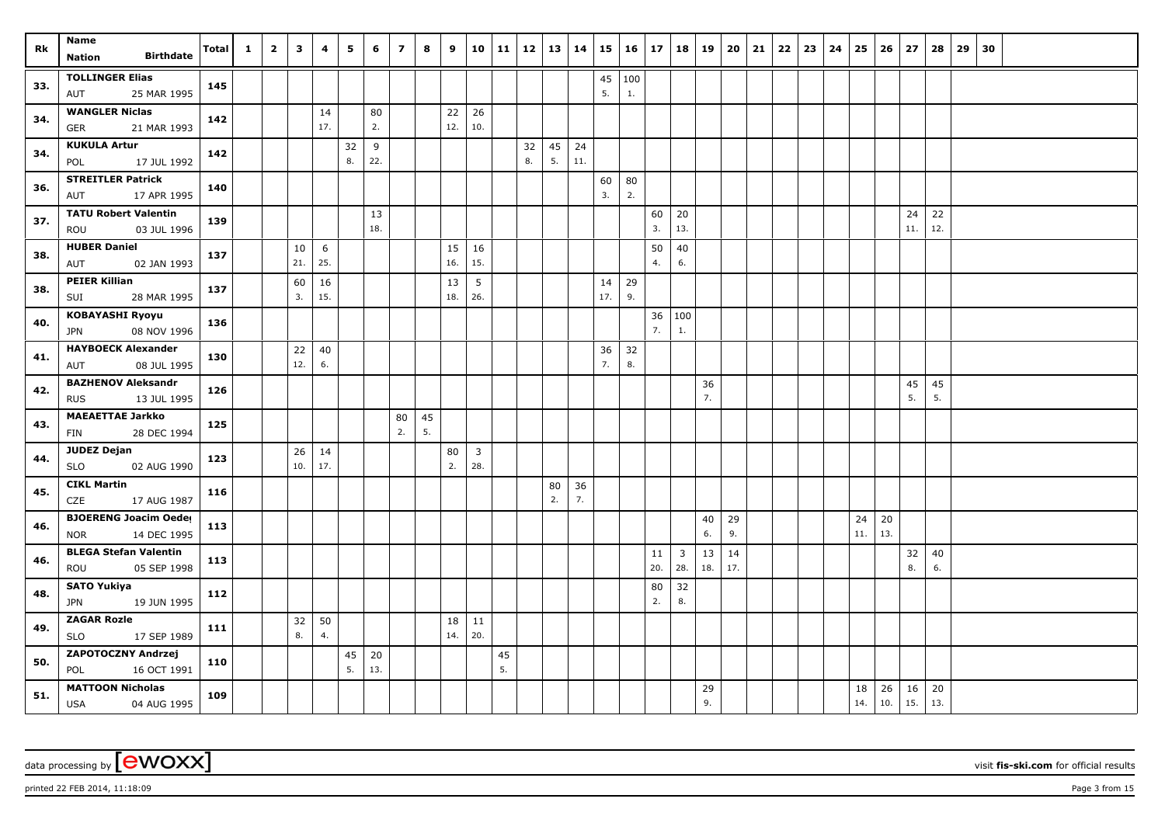| Rk  | Name                                         | <b>Total</b> | $\mathbf{1}$ | $\overline{2}$ | 3         | 4         | 5  | 6   | $\overline{z}$ | 8  | 9         | 10                     | 11 | 12 | 13 | 14  | 15        | 16                  | 17       | 18           | 19  | 20  | 21 | 22 | 23 | 24 | 25  | 26  | 27          | 28  | 29 | 30 |  |  |
|-----|----------------------------------------------|--------------|--------------|----------------|-----------|-----------|----|-----|----------------|----|-----------|------------------------|----|----|----|-----|-----------|---------------------|----------|--------------|-----|-----|----|----|----|----|-----|-----|-------------|-----|----|----|--|--|
|     | <b>Birthdate</b><br><b>Nation</b>            |              |              |                |           |           |    |     |                |    |           |                        |    |    |    |     |           |                     |          |              |     |     |    |    |    |    |     |     |             |     |    |    |  |  |
| 33. | <b>TOLLINGER Elias</b><br>25 MAR 1995<br>AUT | 145          |              |                |           |           |    |     |                |    |           |                        |    |    |    |     | 5.        | $45 \mid 100$<br>1. |          |              |     |     |    |    |    |    |     |     |             |     |    |    |  |  |
|     | <b>WANGLER Niclas</b>                        |              |              |                |           | 14        |    | 80  |                |    | 22        | 26                     |    |    |    |     |           |                     |          |              |     |     |    |    |    |    |     |     |             |     |    |    |  |  |
| 34. | 21 MAR 1993<br><b>GER</b>                    | 142          |              |                |           | 17.       |    | 2.  |                |    | 12.       | 10.                    |    |    |    |     |           |                     |          |              |     |     |    |    |    |    |     |     |             |     |    |    |  |  |
| 34. | <b>KUKULA Artur</b>                          | 142          |              |                |           |           | 32 | 9   |                |    |           |                        |    | 32 | 45 | 24  |           |                     |          |              |     |     |    |    |    |    |     |     |             |     |    |    |  |  |
|     | 17 JUL 1992<br>POL                           |              |              |                |           |           | 8. | 22. |                |    |           |                        |    | 8. | 5. | 11. |           |                     |          |              |     |     |    |    |    |    |     |     |             |     |    |    |  |  |
| 36. | <b>STREITLER Patrick</b>                     | 140          |              |                |           |           |    |     |                |    |           |                        |    |    |    |     | 60        | 80                  |          |              |     |     |    |    |    |    |     |     |             |     |    |    |  |  |
|     | 17 APR 1995<br>AUT                           |              |              |                |           |           |    |     |                |    |           |                        |    |    |    |     | 3.        | 2.                  |          |              |     |     |    |    |    |    |     |     |             |     |    |    |  |  |
| 37. | <b>TATU Robert Valentin</b>                  | 139          |              |                |           |           |    | 13  |                |    |           |                        |    |    |    |     |           |                     | 60       | 20           |     |     |    |    |    |    |     |     | 24          | 22  |    |    |  |  |
|     | ROU<br>03 JUL 1996                           |              |              |                |           |           |    | 18. |                |    |           |                        |    |    |    |     |           |                     | 3.       | 13.          |     |     |    |    |    |    |     |     | 11.         | 12. |    |    |  |  |
| 38. | <b>HUBER Daniel</b><br>02 JAN 1993<br>AUT    | 137          |              |                | 10<br>21. | 6<br>25.  |    |     |                |    | 15<br>16. | 16<br>15.              |    |    |    |     |           |                     | 50<br>4. | 40<br>6.     |     |     |    |    |    |    |     |     |             |     |    |    |  |  |
|     | <b>PEIER Killian</b>                         |              |              |                |           |           |    |     |                |    | 13        |                        |    |    |    |     |           | 29                  |          |              |     |     |    |    |    |    |     |     |             |     |    |    |  |  |
| 38. | 28 MAR 1995<br>SUI                           | 137          |              |                | 60<br>3.  | 16<br>15. |    |     |                |    | 18.       | $5\phantom{.0}$<br>26. |    |    |    |     | 14<br>17. | 9.                  |          |              |     |     |    |    |    |    |     |     |             |     |    |    |  |  |
|     | <b>KOBAYASHI Ryoyu</b>                       |              |              |                |           |           |    |     |                |    |           |                        |    |    |    |     |           |                     |          |              |     |     |    |    |    |    |     |     |             |     |    |    |  |  |
| 40. | 08 NOV 1996<br>JPN                           | 136          |              |                |           |           |    |     |                |    |           |                        |    |    |    |     |           |                     | 36<br>7. | 100<br>1.    |     |     |    |    |    |    |     |     |             |     |    |    |  |  |
|     | <b>HAYBOECK Alexander</b>                    |              |              |                | 22        | 40        |    |     |                |    |           |                        |    |    |    |     | 36        | 32                  |          |              |     |     |    |    |    |    |     |     |             |     |    |    |  |  |
| 41. | 08 JUL 1995<br>AUT                           | 130          |              |                | 12.       | 6.        |    |     |                |    |           |                        |    |    |    |     | 7.        | 8.                  |          |              |     |     |    |    |    |    |     |     |             |     |    |    |  |  |
| 42. | <b>BAZHENOV Aleksandr</b>                    | 126          |              |                |           |           |    |     |                |    |           |                        |    |    |    |     |           |                     |          |              | 36  |     |    |    |    |    |     |     | 45          | 45  |    |    |  |  |
|     | <b>RUS</b><br>13 JUL 1995                    |              |              |                |           |           |    |     |                |    |           |                        |    |    |    |     |           |                     |          |              | 7.  |     |    |    |    |    |     |     | 5.          | 5.  |    |    |  |  |
| 43. | <b>MAEAETTAE Jarkko</b>                      | 125          |              |                |           |           |    |     | 80             | 45 |           |                        |    |    |    |     |           |                     |          |              |     |     |    |    |    |    |     |     |             |     |    |    |  |  |
|     | 28 DEC 1994<br>FIN                           |              |              |                |           |           |    |     | 2.             | 5. |           |                        |    |    |    |     |           |                     |          |              |     |     |    |    |    |    |     |     |             |     |    |    |  |  |
| 44. | <b>JUDEZ Dejan</b>                           | 123          |              |                | 26        | 14        |    |     |                |    | 80        | 3                      |    |    |    |     |           |                     |          |              |     |     |    |    |    |    |     |     |             |     |    |    |  |  |
|     | 02 AUG 1990<br><b>SLO</b>                    |              |              |                | 10.       | 17.       |    |     |                |    | 2.        | 28.                    |    |    |    |     |           |                     |          |              |     |     |    |    |    |    |     |     |             |     |    |    |  |  |
| 45. | <b>CIKL Martin</b>                           | 116          |              |                |           |           |    |     |                |    |           |                        |    |    | 80 | 36  |           |                     |          |              |     |     |    |    |    |    |     |     |             |     |    |    |  |  |
|     | CZE<br>17 AUG 1987                           |              |              |                |           |           |    |     |                |    |           |                        |    |    | 2. | 7.  |           |                     |          |              |     |     |    |    |    |    |     |     |             |     |    |    |  |  |
| 46. | <b>BJOERENG Joacim Oeder</b>                 | 113          |              |                |           |           |    |     |                |    |           |                        |    |    |    |     |           |                     |          |              | 40  | 29  |    |    |    |    | 24  | 20  |             |     |    |    |  |  |
|     | 14 DEC 1995<br><b>NOR</b>                    |              |              |                |           |           |    |     |                |    |           |                        |    |    |    |     |           |                     |          |              | 6.  | 9.  |    |    |    |    | 11. | 13. |             |     |    |    |  |  |
| 46. | <b>BLEGA Stefan Valentin</b>                 | 113          |              |                |           |           |    |     |                |    |           |                        |    |    |    |     |           |                     | 11       | $\mathbf{3}$ | 13  | 14  |    |    |    |    |     |     | 32          | 40  |    |    |  |  |
|     | 05 SEP 1998<br>ROU                           |              |              |                |           |           |    |     |                |    |           |                        |    |    |    |     |           |                     | 20.      | 28.          | 18. | 17. |    |    |    |    |     |     | 8.          | 6.  |    |    |  |  |
| 48. | <b>SATO Yukiya</b>                           | 112          |              |                |           |           |    |     |                |    |           |                        |    |    |    |     |           |                     | 80       | 32           |     |     |    |    |    |    |     |     |             |     |    |    |  |  |
|     | 19 JUN 1995<br>JPN                           |              |              |                |           |           |    |     |                |    |           |                        |    |    |    |     |           |                     | 2.       | 8.           |     |     |    |    |    |    |     |     |             |     |    |    |  |  |
| 49. | <b>ZAGAR Rozle</b>                           | 111          |              |                | 32        | 50        |    |     |                |    | 18        | 11                     |    |    |    |     |           |                     |          |              |     |     |    |    |    |    |     |     |             |     |    |    |  |  |
|     | 17 SEP 1989<br><b>SLO</b>                    |              |              |                | 8.        | 4.        |    |     |                |    | 14.       | 20.                    |    |    |    |     |           |                     |          |              |     |     |    |    |    |    |     |     |             |     |    |    |  |  |
| 50. | ZAPOTOCZNY Andrzej                           | 110          |              |                |           |           | 45 | 20  |                |    |           |                        | 45 |    |    |     |           |                     |          |              |     |     |    |    |    |    |     |     |             |     |    |    |  |  |
|     | POL<br>16 OCT 1991                           |              |              |                |           |           | 5. | 13. |                |    |           |                        | 5. |    |    |     |           |                     |          |              |     |     |    |    |    |    |     |     |             |     |    |    |  |  |
| 51. | <b>MATTOON Nicholas</b>                      | 109          |              |                |           |           |    |     |                |    |           |                        |    |    |    |     |           |                     |          |              | 29  |     |    |    |    |    | 18  | 26  | 16          | 20  |    |    |  |  |
|     | 04 AUG 1995<br>USA                           |              |              |                |           |           |    |     |                |    |           |                        |    |    |    |     |           |                     |          |              | 9.  |     |    |    |    |    | 14. | 10. | $\vert$ 15. | 13. |    |    |  |  |

printed 22 FEB 2014, 11:18:09 Page 3 from 15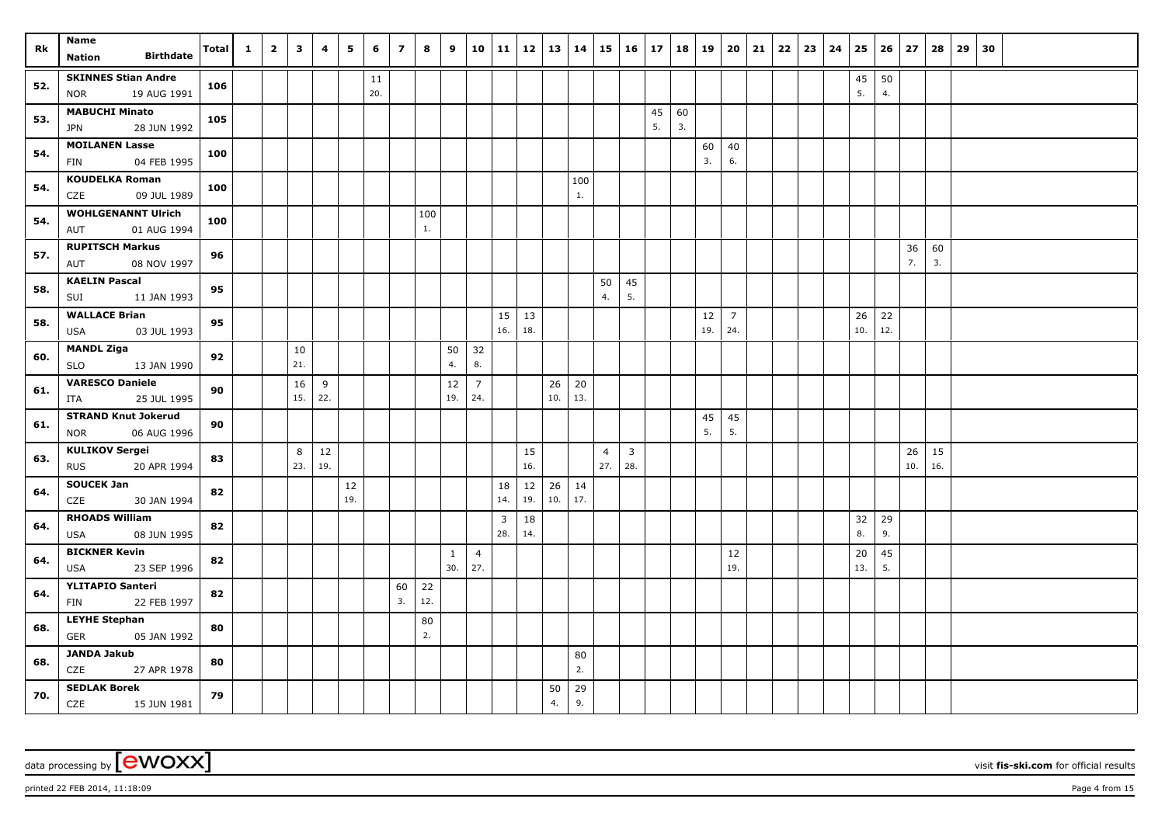| Rk  | Name                                               | <b>Total</b> | $\mathbf{1}$ | $\overline{\mathbf{2}}$ | 3        | 4         | 5   | 6   | $\overline{\phantom{a}}$ | 8   | 9            | 10             | 11  | 12        | 13       | 14        | 15                    | $16 \mid 17$          |    | 18 | 19       | 20             | 21 | 22 | $23 \mid 24$ | 25  | 26  | 27        | 28        | 29 | 30 |  |  |
|-----|----------------------------------------------------|--------------|--------------|-------------------------|----------|-----------|-----|-----|--------------------------|-----|--------------|----------------|-----|-----------|----------|-----------|-----------------------|-----------------------|----|----|----------|----------------|----|----|--------------|-----|-----|-----------|-----------|----|----|--|--|
|     | <b>Birthdate</b><br><b>Nation</b>                  |              |              |                         |          |           |     |     |                          |     |              |                |     |           |          |           |                       |                       |    |    |          |                |    |    |              |     |     |           |           |    |    |  |  |
| 52. | <b>SKINNES Stian Andre</b>                         | 106          |              |                         |          |           |     | 11  |                          |     |              |                |     |           |          |           |                       |                       |    |    |          |                |    |    |              | 45  | 50  |           |           |    |    |  |  |
|     | 19 AUG 1991<br><b>NOR</b>                          |              |              |                         |          |           |     | 20. |                          |     |              |                |     |           |          |           |                       |                       |    |    |          |                |    |    |              | 5.  | 4.  |           |           |    |    |  |  |
| 53. | <b>MABUCHI Minato</b>                              | 105          |              |                         |          |           |     |     |                          |     |              |                |     |           |          |           |                       |                       | 45 | 60 |          |                |    |    |              |     |     |           |           |    |    |  |  |
|     | 28 JUN 1992<br><b>JPN</b>                          |              |              |                         |          |           |     |     |                          |     |              |                |     |           |          |           |                       |                       | 5. | 3. |          |                |    |    |              |     |     |           |           |    |    |  |  |
| 54. | <b>MOILANEN Lasse</b>                              | 100          |              |                         |          |           |     |     |                          |     |              |                |     |           |          |           |                       |                       |    |    | 60       | 40             |    |    |              |     |     |           |           |    |    |  |  |
|     | 04 FEB 1995<br>FIN                                 |              |              |                         |          |           |     |     |                          |     |              |                |     |           |          |           |                       |                       |    |    | 3.       | 6.             |    |    |              |     |     |           |           |    |    |  |  |
| 54. | <b>KOUDELKA Roman</b><br>09 JUL 1989<br>CZE        | 100          |              |                         |          |           |     |     |                          |     |              |                |     |           |          | 100<br>1. |                       |                       |    |    |          |                |    |    |              |     |     |           |           |    |    |  |  |
|     | <b>WOHLGENANNT Ulrich</b>                          |              |              |                         |          |           |     |     |                          | 100 |              |                |     |           |          |           |                       |                       |    |    |          |                |    |    |              |     |     |           |           |    |    |  |  |
| 54. | 01 AUG 1994<br>AUT                                 | 100          |              |                         |          |           |     |     |                          | 1.  |              |                |     |           |          |           |                       |                       |    |    |          |                |    |    |              |     |     |           |           |    |    |  |  |
|     | <b>RUPITSCH Markus</b>                             |              |              |                         |          |           |     |     |                          |     |              |                |     |           |          |           |                       |                       |    |    |          |                |    |    |              |     |     | 36        | 60        |    |    |  |  |
| 57. | AUT<br>08 NOV 1997                                 | 96           |              |                         |          |           |     |     |                          |     |              |                |     |           |          |           |                       |                       |    |    |          |                |    |    |              |     |     | 7.        | 3.        |    |    |  |  |
|     | <b>KAELIN Pascal</b>                               |              |              |                         |          |           |     |     |                          |     |              |                |     |           |          |           | 50                    | 45                    |    |    |          |                |    |    |              |     |     |           |           |    |    |  |  |
| 58. | 11 JAN 1993<br>SUI                                 | 95           |              |                         |          |           |     |     |                          |     |              |                |     |           |          |           | 4.                    | 5.                    |    |    |          |                |    |    |              |     |     |           |           |    |    |  |  |
| 58. | <b>WALLACE Brian</b>                               | 95           |              |                         |          |           |     |     |                          |     |              |                | 15  | 13        |          |           |                       |                       |    |    | $12\,$   | $\overline{7}$ |    |    |              | 26  | 22  |           |           |    |    |  |  |
|     | <b>USA</b><br>03 JUL 1993                          |              |              |                         |          |           |     |     |                          |     |              |                | 16. | 18.       |          |           |                       |                       |    |    | 19.      | 24.            |    |    |              | 10. | 12. |           |           |    |    |  |  |
| 60. | <b>MANDL Ziga</b>                                  | 92           |              |                         | 10       |           |     |     |                          |     | 50           | 32             |     |           |          |           |                       |                       |    |    |          |                |    |    |              |     |     |           |           |    |    |  |  |
|     | <b>SLO</b><br>13 JAN 1990                          |              |              |                         | 21.      |           |     |     |                          |     | 4.           | 8.             |     |           |          |           |                       |                       |    |    |          |                |    |    |              |     |     |           |           |    |    |  |  |
| 61. | <b>VARESCO Daniele</b>                             | 90           |              |                         | 16       | 9         |     |     |                          |     | 12           | $\overline{7}$ |     |           | 26       | 20        |                       |                       |    |    |          |                |    |    |              |     |     |           |           |    |    |  |  |
|     | 25 JUL 1995<br>ITA                                 |              |              |                         | 15.      | 22.       |     |     |                          |     | 19.          | 24.            |     |           | 10.      | 13.       |                       |                       |    |    |          |                |    |    |              |     |     |           |           |    |    |  |  |
| 61. | <b>STRAND Knut Jokerud</b>                         | 90           |              |                         |          |           |     |     |                          |     |              |                |     |           |          |           |                       |                       |    |    | 45<br>5. | 45<br>5.       |    |    |              |     |     |           |           |    |    |  |  |
|     | <b>NOR</b><br>06 AUG 1996<br><b>KULIKOV Sergei</b> |              |              |                         |          |           |     |     |                          |     |              |                |     |           |          |           |                       |                       |    |    |          |                |    |    |              |     |     |           |           |    |    |  |  |
| 63. | <b>RUS</b><br>20 APR 1994                          | 83           |              |                         | 8<br>23. | 12<br>19. |     |     |                          |     |              |                |     | 15<br>16. |          |           | $\overline{4}$<br>27. | $\overline{3}$<br>28. |    |    |          |                |    |    |              |     |     | 26<br>10. | 15<br>16. |    |    |  |  |
|     | <b>SOUCEK Jan</b>                                  |              |              |                         |          |           | 12  |     |                          |     |              |                | 18  | 12        | 26       | 14        |                       |                       |    |    |          |                |    |    |              |     |     |           |           |    |    |  |  |
| 64. | 30 JAN 1994<br>CZE                                 | 82           |              |                         |          |           | 19. |     |                          |     |              |                | 14. | 19.       | 10.      | 17.       |                       |                       |    |    |          |                |    |    |              |     |     |           |           |    |    |  |  |
|     | <b>RHOADS William</b>                              |              |              |                         |          |           |     |     |                          |     |              |                | 3   | 18        |          |           |                       |                       |    |    |          |                |    |    |              | 32  | 29  |           |           |    |    |  |  |
| 64. | <b>USA</b><br>08 JUN 1995                          | 82           |              |                         |          |           |     |     |                          |     |              |                | 28. | 14.       |          |           |                       |                       |    |    |          |                |    |    |              | 8.  | 9.  |           |           |    |    |  |  |
| 64. | <b>BICKNER Kevin</b>                               | 82           |              |                         |          |           |     |     |                          |     | $\mathbf{1}$ | $\overline{4}$ |     |           |          |           |                       |                       |    |    |          | 12             |    |    |              | 20  | 45  |           |           |    |    |  |  |
|     | 23 SEP 1996<br>USA                                 |              |              |                         |          |           |     |     |                          |     | 30.          | 27.            |     |           |          |           |                       |                       |    |    |          | 19.            |    |    |              | 13. | 5.  |           |           |    |    |  |  |
| 64. | YLITAPIO Santeri                                   | 82           |              |                         |          |           |     |     | 60                       | 22  |              |                |     |           |          |           |                       |                       |    |    |          |                |    |    |              |     |     |           |           |    |    |  |  |
|     | 22 FEB 1997<br>FIN                                 |              |              |                         |          |           |     |     | 3.                       | 12. |              |                |     |           |          |           |                       |                       |    |    |          |                |    |    |              |     |     |           |           |    |    |  |  |
| 68. | <b>LEYHE Stephan</b>                               | 80           |              |                         |          |           |     |     |                          | 80  |              |                |     |           |          |           |                       |                       |    |    |          |                |    |    |              |     |     |           |           |    |    |  |  |
|     | GER<br>05 JAN 1992                                 |              |              |                         |          |           |     |     |                          | 2.  |              |                |     |           |          |           |                       |                       |    |    |          |                |    |    |              |     |     |           |           |    |    |  |  |
| 68. | <b>JANDA Jakub</b>                                 | 80           |              |                         |          |           |     |     |                          |     |              |                |     |           |          | 80        |                       |                       |    |    |          |                |    |    |              |     |     |           |           |    |    |  |  |
|     | CZE<br>27 APR 1978<br><b>SEDLAK Borek</b>          |              |              |                         |          |           |     |     |                          |     |              |                |     |           |          | 2.        |                       |                       |    |    |          |                |    |    |              |     |     |           |           |    |    |  |  |
| 70. | CZE 15 JUN 1981                                    | 79           |              |                         |          |           |     |     |                          |     |              |                |     |           | 50<br>4. | 29<br>9.  |                       |                       |    |    |          |                |    |    |              |     |     |           |           |    |    |  |  |

printed 22 FEB 2014, 11:18:09 Page 4 from 15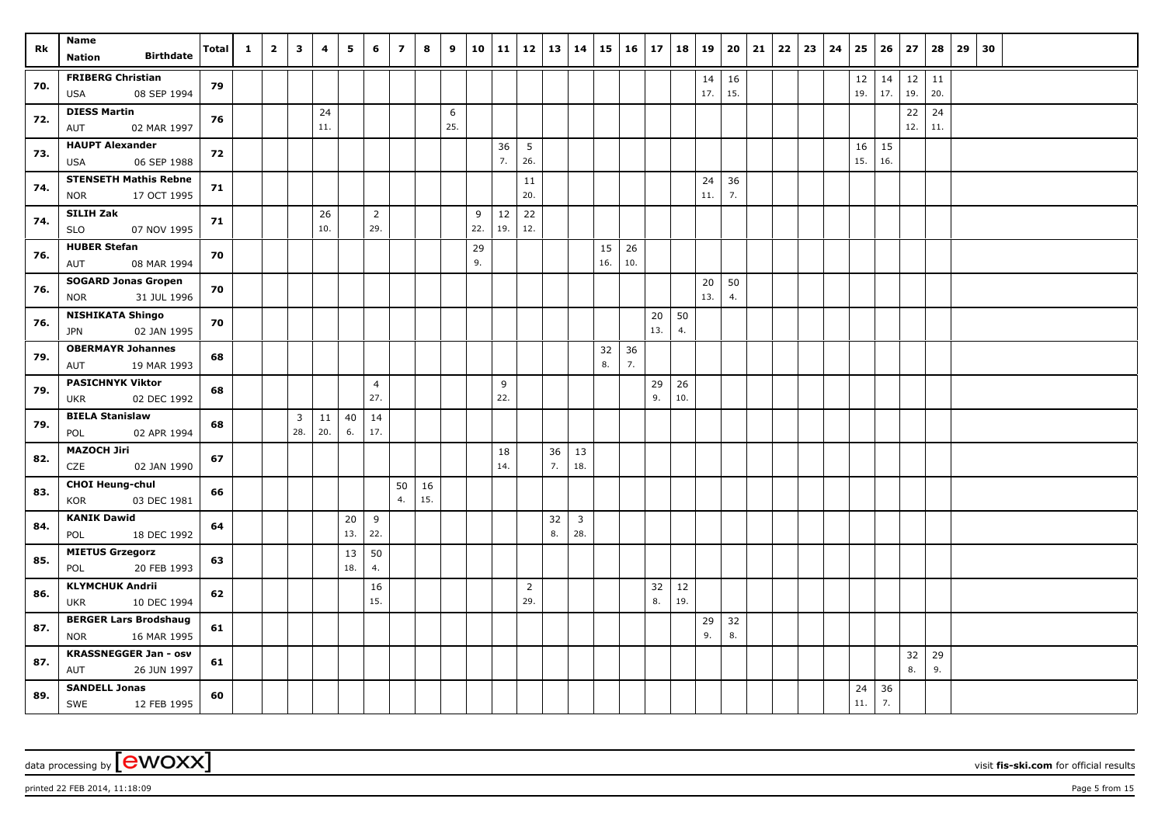| Rk  | Name<br><b>Birthdate</b><br><b>Nation</b>                 | <b>Total</b> | $\mathbf{1}$ | $\overline{\mathbf{2}}$ | 3                     | 4         | 5         | 6                     | $\overline{z}$ | 8         | 9        | 10       | 11        | 12                    | 13       | 14                    | 15        | 16 17     |           | 18        | 19        | 20        | 21 | 22 | 23 | 24 | 25        | 26        | 27        | 28        | 29 | 30 |  |  |  |
|-----|-----------------------------------------------------------|--------------|--------------|-------------------------|-----------------------|-----------|-----------|-----------------------|----------------|-----------|----------|----------|-----------|-----------------------|----------|-----------------------|-----------|-----------|-----------|-----------|-----------|-----------|----|----|----|----|-----------|-----------|-----------|-----------|----|----|--|--|--|
| 70. | <b>FRIBERG Christian</b><br>08 SEP 1994<br><b>USA</b>     | 79           |              |                         |                       |           |           |                       |                |           |          |          |           |                       |          |                       |           |           |           |           | 14<br>17. | 16<br>15. |    |    |    |    | 12<br>19. | 14<br>17. | 12<br>19. | 11<br>20. |    |    |  |  |  |
| 72. | <b>DIESS Martin</b><br>02 MAR 1997<br>AUT                 | 76           |              |                         |                       | 24<br>11. |           |                       |                |           | 6<br>25. |          |           |                       |          |                       |           |           |           |           |           |           |    |    |    |    |           |           | 22<br>12. | 24<br>11. |    |    |  |  |  |
| 73. | <b>HAUPT Alexander</b><br><b>USA</b><br>06 SEP 1988       | 72           |              |                         |                       |           |           |                       |                |           |          |          | 36<br>7.  | 5<br>26.              |          |                       |           |           |           |           |           |           |    |    |    |    | 16<br>15. | 15<br>16. |           |           |    |    |  |  |  |
| 74. | <b>STENSETH Mathis Rebne</b><br>17 OCT 1995<br><b>NOR</b> | 71           |              |                         |                       |           |           |                       |                |           |          |          |           | 11<br>20.             |          |                       |           |           |           |           | 24<br>11. | 36<br>7.  |    |    |    |    |           |           |           |           |    |    |  |  |  |
| 74. | SILIH Zak<br><b>SLO</b><br>07 NOV 1995                    | 71           |              |                         |                       | 26<br>10. |           | $\overline{2}$<br>29. |                |           |          | 9<br>22. | 12<br>19. | 22<br>12.             |          |                       |           |           |           |           |           |           |    |    |    |    |           |           |           |           |    |    |  |  |  |
| 76. | <b>HUBER Stefan</b><br>AUT<br>08 MAR 1994                 | 70           |              |                         |                       |           |           |                       |                |           |          | 29<br>9. |           |                       |          |                       | 15<br>16. | 26<br>10. |           |           |           |           |    |    |    |    |           |           |           |           |    |    |  |  |  |
| 76. | <b>SOGARD Jonas Gropen</b><br><b>NOR</b><br>31 JUL 1996   | 70           |              |                         |                       |           |           |                       |                |           |          |          |           |                       |          |                       |           |           |           |           | 20<br>13. | 50<br>4.  |    |    |    |    |           |           |           |           |    |    |  |  |  |
| 76. | <b>NISHIKATA Shingo</b><br>02 JAN 1995<br><b>JPN</b>      | 70           |              |                         |                       |           |           |                       |                |           |          |          |           |                       |          |                       |           |           | 20<br>13. | 50<br>4.  |           |           |    |    |    |    |           |           |           |           |    |    |  |  |  |
| 79. | <b>OBERMAYR Johannes</b><br>19 MAR 1993<br>AUT            | 68           |              |                         |                       |           |           |                       |                |           |          |          |           |                       |          |                       | 32<br>8.  | 36<br>7.  |           |           |           |           |    |    |    |    |           |           |           |           |    |    |  |  |  |
| 79. | <b>PASICHNYK Viktor</b><br>02 DEC 1992<br><b>UKR</b>      | 68           |              |                         |                       |           |           | $\overline{4}$<br>27. |                |           |          |          | 9<br>22.  |                       |          |                       |           |           | 29<br>9.  | 26<br>10. |           |           |    |    |    |    |           |           |           |           |    |    |  |  |  |
| 79. | <b>BIELA Stanislaw</b><br>02 APR 1994<br>POL              | 68           |              |                         | $\overline{3}$<br>28. | 11<br>20. | 40<br>6.  | 14<br>17.             |                |           |          |          |           |                       |          |                       |           |           |           |           |           |           |    |    |    |    |           |           |           |           |    |    |  |  |  |
| 82. | <b>MAZOCH Jiri</b><br>CZE<br>02 JAN 1990                  | 67           |              |                         |                       |           |           |                       |                |           |          |          | 18<br>14. |                       | 36<br>7. | 13<br>18.             |           |           |           |           |           |           |    |    |    |    |           |           |           |           |    |    |  |  |  |
| 83. | <b>CHOI Heung-chul</b><br>03 DEC 1981<br>KOR              | 66           |              |                         |                       |           |           |                       | 50<br>4.       | 16<br>15. |          |          |           |                       |          |                       |           |           |           |           |           |           |    |    |    |    |           |           |           |           |    |    |  |  |  |
| 84. | <b>KANIK Dawid</b><br>POL<br>18 DEC 1992                  | 64           |              |                         |                       |           | 20<br>13. | 9<br>22.              |                |           |          |          |           |                       | 32<br>8. | $\overline{3}$<br>28. |           |           |           |           |           |           |    |    |    |    |           |           |           |           |    |    |  |  |  |
| 85. | <b>MIETUS Grzegorz</b><br>20 FEB 1993<br>POL              | 63           |              |                         |                       |           | 13<br>18. | 50<br>4.              |                |           |          |          |           |                       |          |                       |           |           |           |           |           |           |    |    |    |    |           |           |           |           |    |    |  |  |  |
| 86. | <b>KLYMCHUK Andrii</b><br>10 DEC 1994<br><b>UKR</b>       | 62           |              |                         |                       |           |           | 16<br>15.             |                |           |          |          |           | $\overline{2}$<br>29. |          |                       |           |           | 32<br>8.  | 12<br>19. |           |           |    |    |    |    |           |           |           |           |    |    |  |  |  |
| 87. | <b>BERGER Lars Brodshaug</b><br>16 MAR 1995<br><b>NOR</b> | 61           |              |                         |                       |           |           |                       |                |           |          |          |           |                       |          |                       |           |           |           |           | 29<br>9.  | 32<br>8.  |    |    |    |    |           |           |           |           |    |    |  |  |  |
| 87. | <b>KRASSNEGGER Jan - osv</b><br>AUT<br>26 JUN 1997        | 61           |              |                         |                       |           |           |                       |                |           |          |          |           |                       |          |                       |           |           |           |           |           |           |    |    |    |    |           |           | 32<br>8.  | 29<br>9.  |    |    |  |  |  |
| 89. | <b>SANDELL Jonas</b><br>SWE<br>12 FEB 1995                | 60           |              |                         |                       |           |           |                       |                |           |          |          |           |                       |          |                       |           |           |           |           |           |           |    |    |    |    | 24<br>11. | 36<br>7.  |           |           |    |    |  |  |  |

printed 22 FEB 2014, 11:18:09 Page 5 from 15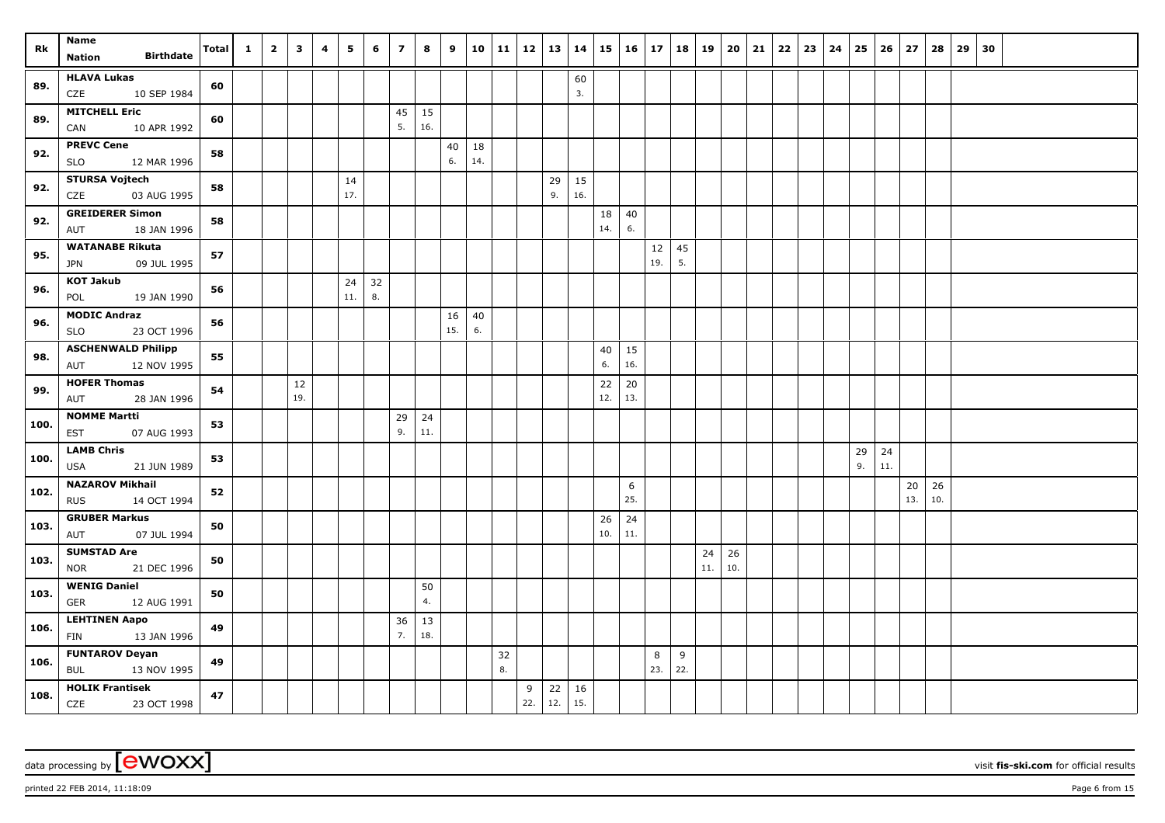| Rk   | Name<br><b>Birthdate</b><br><b>Nation</b>           | <b>Total</b> | $\mathbf{1}$ | $\overline{2}$ | $\mathbf{3}$ | 4 | 5         | 6        | $\overline{z}$ | 8   | 9        | 10        | 11   12   13   14 |          |           |           |           | $15 \mid 16 \mid 17$ |           | 18       | 19        | 20 21     |  | $22 \mid 23 \mid$ | 24 | 25       |           | $26 \mid 27$ | 28  | 29 | 30 |  |  |
|------|-----------------------------------------------------|--------------|--------------|----------------|--------------|---|-----------|----------|----------------|-----|----------|-----------|-------------------|----------|-----------|-----------|-----------|----------------------|-----------|----------|-----------|-----------|--|-------------------|----|----------|-----------|--------------|-----|----|----|--|--|
|      | <b>HLAVA Lukas</b>                                  |              |              |                |              |   |           |          |                |     |          |           |                   |          |           | 60        |           |                      |           |          |           |           |  |                   |    |          |           |              |     |    |    |  |  |
| 89.  | 10 SEP 1984<br>CZE                                  | 60           |              |                |              |   |           |          |                |     |          |           |                   |          |           | 3.        |           |                      |           |          |           |           |  |                   |    |          |           |              |     |    |    |  |  |
| 89.  | <b>MITCHELL Eric</b>                                | 60           |              |                |              |   |           |          | 45             | 15  |          |           |                   |          |           |           |           |                      |           |          |           |           |  |                   |    |          |           |              |     |    |    |  |  |
|      | CAN<br>10 APR 1992                                  |              |              |                |              |   |           |          | 5.             | 16. |          |           |                   |          |           |           |           |                      |           |          |           |           |  |                   |    |          |           |              |     |    |    |  |  |
| 92.  | <b>PREVC Cene</b><br>12 MAR 1996<br><b>SLO</b>      | 58           |              |                |              |   |           |          |                |     | 40<br>6. | 18<br>14. |                   |          |           |           |           |                      |           |          |           |           |  |                   |    |          |           |              |     |    |    |  |  |
| 92.  | <b>STURSA Vojtech</b>                               | 58           |              |                |              |   | 14        |          |                |     |          |           |                   |          | 29        | 15        |           |                      |           |          |           |           |  |                   |    |          |           |              |     |    |    |  |  |
|      | CZE<br>03 AUG 1995                                  |              |              |                |              |   | 17.       |          |                |     |          |           |                   |          | 9.        | 16.       |           |                      |           |          |           |           |  |                   |    |          |           |              |     |    |    |  |  |
| 92.  | <b>GREIDERER Simon</b><br>18 JAN 1996<br>AUT        | 58           |              |                |              |   |           |          |                |     |          |           |                   |          |           |           | 18<br>14. | 40<br>6.             |           |          |           |           |  |                   |    |          |           |              |     |    |    |  |  |
| 95.  | <b>WATANABE Rikuta</b><br><b>JPN</b><br>09 JUL 1995 | 57           |              |                |              |   |           |          |                |     |          |           |                   |          |           |           |           |                      | 12<br>19. | 45<br>5. |           |           |  |                   |    |          |           |              |     |    |    |  |  |
| 96.  | <b>KOT Jakub</b><br>POL<br>19 JAN 1990              | 56           |              |                |              |   | 24<br>11. | 32<br>8. |                |     |          |           |                   |          |           |           |           |                      |           |          |           |           |  |                   |    |          |           |              |     |    |    |  |  |
|      | <b>MODIC Andraz</b>                                 |              |              |                |              |   |           |          |                |     | 16       | 40        |                   |          |           |           |           |                      |           |          |           |           |  |                   |    |          |           |              |     |    |    |  |  |
| 96.  | 23 OCT 1996<br><b>SLO</b>                           | 56           |              |                |              |   |           |          |                |     | 15.      | 6.        |                   |          |           |           |           |                      |           |          |           |           |  |                   |    |          |           |              |     |    |    |  |  |
| 98.  | <b>ASCHENWALD Philipp</b>                           | 55           |              |                |              |   |           |          |                |     |          |           |                   |          |           |           | 40        | 15                   |           |          |           |           |  |                   |    |          |           |              |     |    |    |  |  |
|      | 12 NOV 1995<br>AUT                                  |              |              |                |              |   |           |          |                |     |          |           |                   |          |           |           | 6.        | 16.                  |           |          |           |           |  |                   |    |          |           |              |     |    |    |  |  |
| 99.  | <b>HOFER Thomas</b><br>28 JAN 1996<br>AUT           | 54           |              |                | 12<br>19.    |   |           |          |                |     |          |           |                   |          |           |           | 22<br>12. | 20<br>13.            |           |          |           |           |  |                   |    |          |           |              |     |    |    |  |  |
| 100. | <b>NOMME Martti</b>                                 | 53           |              |                |              |   |           |          | 29             | 24  |          |           |                   |          |           |           |           |                      |           |          |           |           |  |                   |    |          |           |              |     |    |    |  |  |
|      | EST<br>07 AUG 1993                                  |              |              |                |              |   |           |          | 9.             | 11. |          |           |                   |          |           |           |           |                      |           |          |           |           |  |                   |    |          |           |              |     |    |    |  |  |
| 100. | <b>LAMB Chris</b><br>USA<br>21 JUN 1989             | 53           |              |                |              |   |           |          |                |     |          |           |                   |          |           |           |           |                      |           |          |           |           |  |                   |    | 29<br>9. | 24<br>11. |              |     |    |    |  |  |
|      | <b>NAZAROV Mikhail</b>                              |              |              |                |              |   |           |          |                |     |          |           |                   |          |           |           |           | 6                    |           |          |           |           |  |                   |    |          |           | 20           | 26  |    |    |  |  |
| 102. | 14 OCT 1994<br><b>RUS</b>                           | 52           |              |                |              |   |           |          |                |     |          |           |                   |          |           |           |           | 25.                  |           |          |           |           |  |                   |    |          |           | 13.          | 10. |    |    |  |  |
| 103. | <b>GRUBER Markus</b><br>07 JUL 1994<br>AUT          | 50           |              |                |              |   |           |          |                |     |          |           |                   |          |           |           | 26<br>10. | 24<br>11.            |           |          |           |           |  |                   |    |          |           |              |     |    |    |  |  |
| 103. | <b>SUMSTAD Are</b>                                  | 50           |              |                |              |   |           |          |                |     |          |           |                   |          |           |           |           |                      |           |          | 24<br>11. | 26<br>10. |  |                   |    |          |           |              |     |    |    |  |  |
|      | 21 DEC 1996<br>NOR<br><b>WENIG Daniel</b>           |              |              |                |              |   |           |          |                | 50  |          |           |                   |          |           |           |           |                      |           |          |           |           |  |                   |    |          |           |              |     |    |    |  |  |
| 103. | <b>GER</b><br>12 AUG 1991                           | 50           |              |                |              |   |           |          |                | 4.  |          |           |                   |          |           |           |           |                      |           |          |           |           |  |                   |    |          |           |              |     |    |    |  |  |
| 106. | <b>LEHTINEN Aapo</b>                                | 49           |              |                |              |   |           |          | 36             | 13  |          |           |                   |          |           |           |           |                      |           |          |           |           |  |                   |    |          |           |              |     |    |    |  |  |
|      | FIN<br>13 JAN 1996                                  |              |              |                |              |   |           |          | 7.             | 18. |          |           |                   |          |           |           |           |                      |           |          |           |           |  |                   |    |          |           |              |     |    |    |  |  |
| 106. | <b>FUNTAROV Deyan</b><br><b>BUL</b><br>13 NOV 1995  | 49           |              |                |              |   |           |          |                |     |          |           | 32<br>8.          |          |           |           |           |                      | 8<br>23.  | 9<br>22. |           |           |  |                   |    |          |           |              |     |    |    |  |  |
| 108. | <b>HOLIK Frantisek</b><br><b>CZE</b><br>23 OCT 1998 | 47           |              |                |              |   |           |          |                |     |          |           |                   | 9<br>22. | 22<br>12. | 16<br>15. |           |                      |           |          |           |           |  |                   |    |          |           |              |     |    |    |  |  |

printed 22 FEB 2014, 11:18:09 Page 6 from 15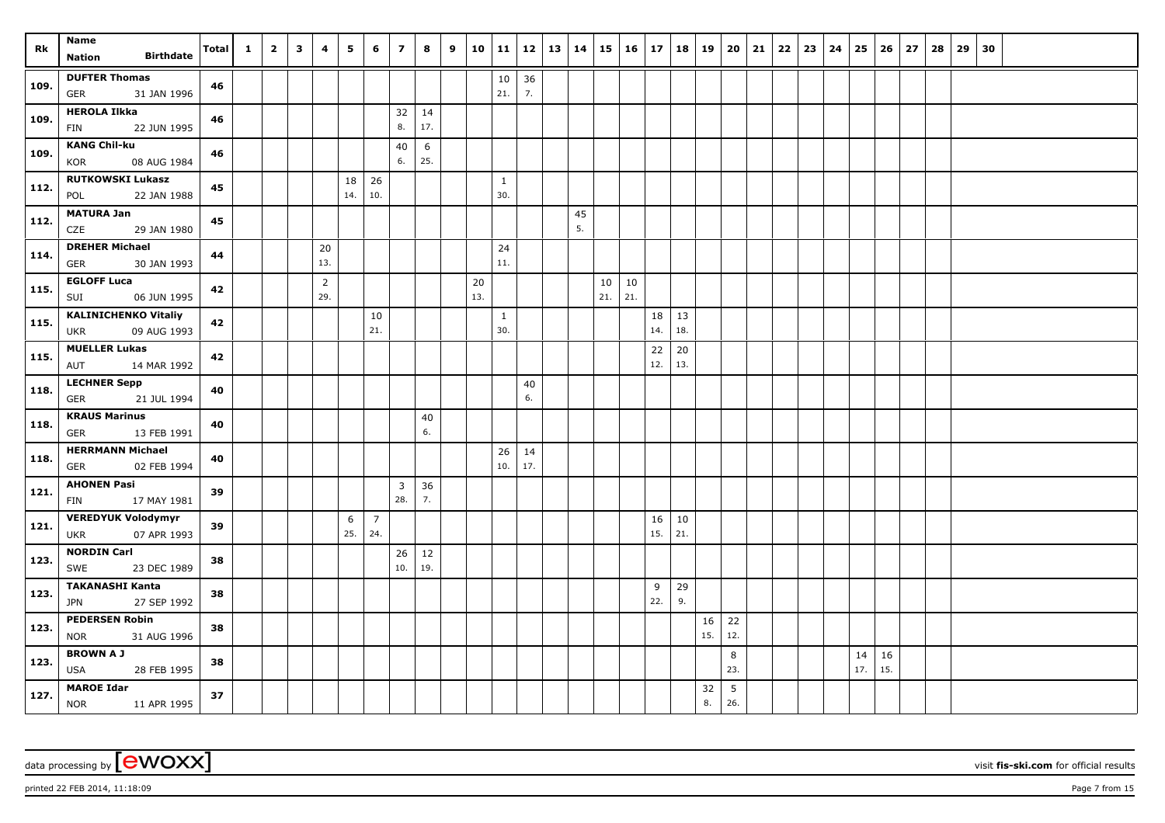| Rk   | <b>Name</b><br><b>Birthdate</b><br><b>Nation</b>   | Total | $\mathbf{1}$ | $\overline{\mathbf{2}}$ | $\mathbf{3}$ | 4                     | 5         | 6              | $\overline{z}$                 | 8         | 9 | 10        | 11        |          | $12 \mid 13$ | 14 | 15        | 16 17     |     | 18  | 19  | 20             | 21 | $22 \mid 23$ | 24 | 25        | 26        | 27 | 28 | 29 30 |  |  |
|------|----------------------------------------------------|-------|--------------|-------------------------|--------------|-----------------------|-----------|----------------|--------------------------------|-----------|---|-----------|-----------|----------|--------------|----|-----------|-----------|-----|-----|-----|----------------|----|--------------|----|-----------|-----------|----|----|-------|--|--|
|      |                                                    |       |              |                         |              |                       |           |                |                                |           |   |           |           |          |              |    |           |           |     |     |     |                |    |              |    |           |           |    |    |       |  |  |
| 109. | <b>DUFTER Thomas</b><br><b>GER</b><br>31 JAN 1996  | 46    |              |                         |              |                       |           |                |                                |           |   |           | 10<br>21. | 36<br>7. |              |    |           |           |     |     |     |                |    |              |    |           |           |    |    |       |  |  |
| 109. | <b>HEROLA Ilkka</b><br>22 JUN 1995<br><b>FIN</b>   | 46    |              |                         |              |                       |           |                | 32<br>8.                       | 14<br>17. |   |           |           |          |              |    |           |           |     |     |     |                |    |              |    |           |           |    |    |       |  |  |
|      | <b>KANG Chil-ku</b>                                |       |              |                         |              |                       |           |                | 40                             | 6         |   |           |           |          |              |    |           |           |     |     |     |                |    |              |    |           |           |    |    |       |  |  |
| 109. | KOR<br>08 AUG 1984                                 | 46    |              |                         |              |                       |           |                | 6.                             | 25.       |   |           |           |          |              |    |           |           |     |     |     |                |    |              |    |           |           |    |    |       |  |  |
| 112. | <b>RUTKOWSKI Lukasz</b><br>22 JAN 1988<br>POL      | 45    |              |                         |              |                       | 18<br>14. | 26<br>10.      |                                |           |   |           | 1<br>30.  |          |              |    |           |           |     |     |     |                |    |              |    |           |           |    |    |       |  |  |
| 112. | <b>MATURA Jan</b>                                  | 45    |              |                         |              |                       |           |                |                                |           |   |           |           |          |              | 45 |           |           |     |     |     |                |    |              |    |           |           |    |    |       |  |  |
|      | CZE<br>29 JAN 1980                                 |       |              |                         |              |                       |           |                |                                |           |   |           |           |          |              | 5. |           |           |     |     |     |                |    |              |    |           |           |    |    |       |  |  |
| 114. | <b>DREHER Michael</b><br>30 JAN 1993<br><b>GER</b> | 44    |              |                         |              | 20<br>13.             |           |                |                                |           |   |           | 24<br>11. |          |              |    |           |           |     |     |     |                |    |              |    |           |           |    |    |       |  |  |
| 115. | <b>EGLOFF Luca</b><br>06 JUN 1995<br>SUI           | 42    |              |                         |              | $\overline{2}$<br>29. |           |                |                                |           |   | 20<br>13. |           |          |              |    | 10<br>21. | 10<br>21. |     |     |     |                |    |              |    |           |           |    |    |       |  |  |
|      | <b>KALINICHENKO Vitaliy</b>                        |       |              |                         |              |                       |           | 10             |                                |           |   |           | 1         |          |              |    |           |           | 18  | 13  |     |                |    |              |    |           |           |    |    |       |  |  |
| 115. | 09 AUG 1993<br>UKR                                 | 42    |              |                         |              |                       |           | 21.            |                                |           |   |           | 30.       |          |              |    |           |           | 14. | 18. |     |                |    |              |    |           |           |    |    |       |  |  |
| 115. | <b>MUELLER Lukas</b>                               | 42    |              |                         |              |                       |           |                |                                |           |   |           |           |          |              |    |           |           | 22  | 20  |     |                |    |              |    |           |           |    |    |       |  |  |
|      | AUT<br>14 MAR 1992                                 |       |              |                         |              |                       |           |                |                                |           |   |           |           |          |              |    |           |           | 12. | 13. |     |                |    |              |    |           |           |    |    |       |  |  |
| 118. | <b>LECHNER Sepp</b><br>21 JUL 1994<br><b>GER</b>   | 40    |              |                         |              |                       |           |                |                                |           |   |           |           | 40<br>6. |              |    |           |           |     |     |     |                |    |              |    |           |           |    |    |       |  |  |
|      | <b>KRAUS Marinus</b>                               |       |              |                         |              |                       |           |                |                                | 40        |   |           |           |          |              |    |           |           |     |     |     |                |    |              |    |           |           |    |    |       |  |  |
| 118. | 13 FEB 1991<br>GER                                 | 40    |              |                         |              |                       |           |                |                                | 6.        |   |           |           |          |              |    |           |           |     |     |     |                |    |              |    |           |           |    |    |       |  |  |
| 118. | <b>HERRMANN Michael</b>                            | 40    |              |                         |              |                       |           |                |                                |           |   |           | 26        | 14       |              |    |           |           |     |     |     |                |    |              |    |           |           |    |    |       |  |  |
|      | GER<br>02 FEB 1994                                 |       |              |                         |              |                       |           |                |                                |           |   |           | 10.       | 17.      |              |    |           |           |     |     |     |                |    |              |    |           |           |    |    |       |  |  |
| 121. | <b>AHONEN Pasi</b><br>17 MAY 1981<br>FIN           | 39    |              |                         |              |                       |           |                | $\overline{\mathbf{3}}$<br>28. | 36<br>7.  |   |           |           |          |              |    |           |           |     |     |     |                |    |              |    |           |           |    |    |       |  |  |
| 121. | <b>VEREDYUK Volodymyr</b>                          | 39    |              |                         |              |                       | 6         | $\overline{7}$ |                                |           |   |           |           |          |              |    |           |           | 16  | 10  |     |                |    |              |    |           |           |    |    |       |  |  |
|      | 07 APR 1993<br><b>UKR</b>                          |       |              |                         |              |                       | 25.       | 24.            |                                |           |   |           |           |          |              |    |           |           | 15. | 21. |     |                |    |              |    |           |           |    |    |       |  |  |
| 123. | <b>NORDIN Carl</b><br>SWE<br>23 DEC 1989           | 38    |              |                         |              |                       |           |                | 26<br>10.                      | 12<br>19. |   |           |           |          |              |    |           |           |     |     |     |                |    |              |    |           |           |    |    |       |  |  |
|      | <b>TAKANASHI Kanta</b>                             |       |              |                         |              |                       |           |                |                                |           |   |           |           |          |              |    |           |           | 9   | 29  |     |                |    |              |    |           |           |    |    |       |  |  |
| 123. | 27 SEP 1992<br><b>JPN</b>                          | 38    |              |                         |              |                       |           |                |                                |           |   |           |           |          |              |    |           |           | 22. | 9.  |     |                |    |              |    |           |           |    |    |       |  |  |
| 123. | <b>PEDERSEN Robin</b>                              | 38    |              |                         |              |                       |           |                |                                |           |   |           |           |          |              |    |           |           |     |     | 16  | 22             |    |              |    |           |           |    |    |       |  |  |
|      | 31 AUG 1996<br><b>NOR</b>                          |       |              |                         |              |                       |           |                |                                |           |   |           |           |          |              |    |           |           |     |     | 15. | 12.            |    |              |    |           |           |    |    |       |  |  |
| 123. | <b>BROWN A J</b><br><b>USA</b><br>28 FEB 1995      | 38    |              |                         |              |                       |           |                |                                |           |   |           |           |          |              |    |           |           |     |     |     | $\bf 8$<br>23. |    |              |    | 14<br>17. | 16<br>15. |    |    |       |  |  |
|      | <b>MAROE Idar</b>                                  |       |              |                         |              |                       |           |                |                                |           |   |           |           |          |              |    |           |           |     |     | 32  | 5              |    |              |    |           |           |    |    |       |  |  |
| 127. | NOR 11 APR 1995                                    | 37    |              |                         |              |                       |           |                |                                |           |   |           |           |          |              |    |           |           |     |     | 8.  | 26.            |    |              |    |           |           |    |    |       |  |  |

printed 22 FEB 2014, 11:18:09 Page 7 from 15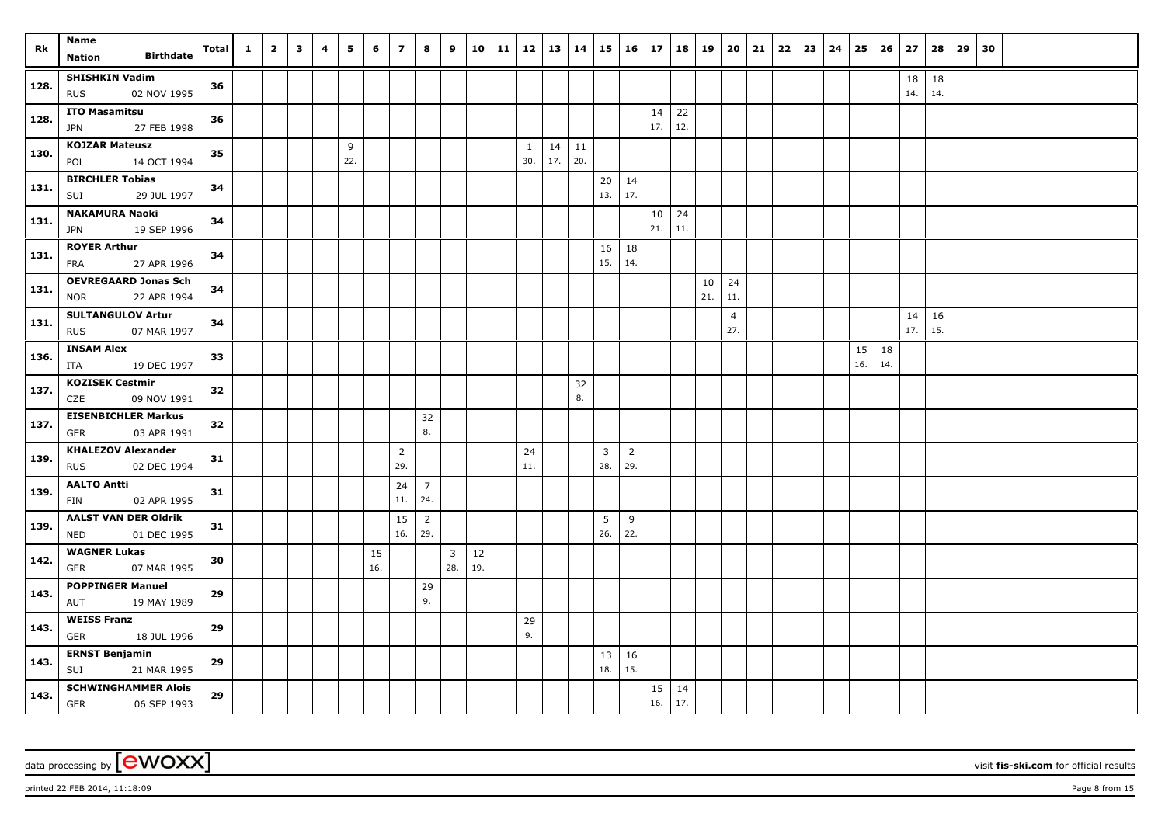| Rk   | Name<br><b>Birthdate</b><br><b>Nation</b>                | <b>Total</b> | $\mathbf{1}$ | $\overline{2}$ | $\overline{\mathbf{3}}$ | 4 | 5        | 6         | $\overline{z}$        | 8                     | 9                     | 10        | 11   12   13   14 |                     |           |           |            | $15 \mid 16 \mid 17$  |           | 18        | 19        | $20 \mid 21$          |  | $22 \mid 23$ | 24 | 25        | 26        | 27        | 28        | $29 \mid 30$ |  |  |
|------|----------------------------------------------------------|--------------|--------------|----------------|-------------------------|---|----------|-----------|-----------------------|-----------------------|-----------------------|-----------|-------------------|---------------------|-----------|-----------|------------|-----------------------|-----------|-----------|-----------|-----------------------|--|--------------|----|-----------|-----------|-----------|-----------|--------------|--|--|
| 128. | <b>SHISHKIN Vadim</b><br><b>RUS</b><br>02 NOV 1995       | 36           |              |                |                         |   |          |           |                       |                       |                       |           |                   |                     |           |           |            |                       |           |           |           |                       |  |              |    |           |           | 18<br>14. | 18<br>14. |              |  |  |
| 128. | <b>ITO Masamitsu</b><br><b>JPN</b><br>27 FEB 1998        | 36           |              |                |                         |   |          |           |                       |                       |                       |           |                   |                     |           |           |            |                       | 14<br>17. | 22<br>12. |           |                       |  |              |    |           |           |           |           |              |  |  |
| 130. | <b>KOJZAR Mateusz</b><br>POL<br>14 OCT 1994              | 35           |              |                |                         |   | 9<br>22. |           |                       |                       |                       |           |                   | $\mathbf{1}$<br>30. | 14<br>17. | 11<br>20. |            |                       |           |           |           |                       |  |              |    |           |           |           |           |              |  |  |
| 131. | <b>BIRCHLER Tobias</b><br>29 JUL 1997<br>SUI             | 34           |              |                |                         |   |          |           |                       |                       |                       |           |                   |                     |           |           | 20<br>13.  | 14<br>17.             |           |           |           |                       |  |              |    |           |           |           |           |              |  |  |
| 131. | <b>NAKAMURA Naoki</b><br>19 SEP 1996<br><b>JPN</b>       | 34           |              |                |                         |   |          |           |                       |                       |                       |           |                   |                     |           |           |            |                       | 10<br>21. | 24<br>11. |           |                       |  |              |    |           |           |           |           |              |  |  |
| 131. | <b>ROYER Arthur</b><br>27 APR 1996<br>FRA                | 34           |              |                |                         |   |          |           |                       |                       |                       |           |                   |                     |           |           | 16 <br>15. | 18<br>14.             |           |           |           |                       |  |              |    |           |           |           |           |              |  |  |
| 131. | <b>OEVREGAARD Jonas Sch</b><br>22 APR 1994<br><b>NOR</b> | 34           |              |                |                         |   |          |           |                       |                       |                       |           |                   |                     |           |           |            |                       |           |           | 10<br>21. | 24<br>11.             |  |              |    |           |           |           |           |              |  |  |
| 131. | <b>SULTANGULOV Artur</b><br><b>RUS</b><br>07 MAR 1997    | 34           |              |                |                         |   |          |           |                       |                       |                       |           |                   |                     |           |           |            |                       |           |           |           | $\overline{4}$<br>27. |  |              |    |           |           | 14<br>17. | 16<br>15. |              |  |  |
| 136. | <b>INSAM Alex</b><br>19 DEC 1997<br>ITA                  | 33           |              |                |                         |   |          |           |                       |                       |                       |           |                   |                     |           |           |            |                       |           |           |           |                       |  |              |    | 15<br>16. | 18<br>14. |           |           |              |  |  |
| 137. | <b>KOZISEK Cestmir</b><br>09 NOV 1991<br>CZE             | 32           |              |                |                         |   |          |           |                       |                       |                       |           |                   |                     |           | 32<br>8.  |            |                       |           |           |           |                       |  |              |    |           |           |           |           |              |  |  |
| 137. | <b>EISENBICHLER Markus</b><br><b>GER</b><br>03 APR 1991  | 32           |              |                |                         |   |          |           |                       | 32<br>8.              |                       |           |                   |                     |           |           |            |                       |           |           |           |                       |  |              |    |           |           |           |           |              |  |  |
| 139. | <b>KHALEZOV Alexander</b><br><b>RUS</b><br>02 DEC 1994   | 31           |              |                |                         |   |          |           | $\overline{2}$<br>29. |                       |                       |           |                   | 24<br>11.           |           |           | 3<br>28.   | $\overline{2}$<br>29. |           |           |           |                       |  |              |    |           |           |           |           |              |  |  |
| 139. | <b>AALTO Antti</b><br>02 APR 1995<br>FIN                 | 31           |              |                |                         |   |          |           | 24<br>11.             | 7<br>24.              |                       |           |                   |                     |           |           |            |                       |           |           |           |                       |  |              |    |           |           |           |           |              |  |  |
| 139. | <b>AALST VAN DER Oldrik</b><br>01 DEC 1995<br>NED        | 31           |              |                |                         |   |          |           | 15<br>16.             | $\overline{2}$<br>29. |                       |           |                   |                     |           |           | 5<br>26.   | $\,9$<br>22.          |           |           |           |                       |  |              |    |           |           |           |           |              |  |  |
| 142. | <b>WAGNER Lukas</b><br>07 MAR 1995<br><b>GER</b>         | 30           |              |                |                         |   |          | 15<br>16. |                       |                       | $\overline{3}$<br>28. | 12<br>19. |                   |                     |           |           |            |                       |           |           |           |                       |  |              |    |           |           |           |           |              |  |  |
| 143. | <b>POPPINGER Manuel</b><br>AUT<br>19 MAY 1989            | 29           |              |                |                         |   |          |           |                       | 29<br>9.              |                       |           |                   |                     |           |           |            |                       |           |           |           |                       |  |              |    |           |           |           |           |              |  |  |
| 143. | <b>WEISS Franz</b><br><b>GER</b><br>18 JUL 1996          | 29           |              |                |                         |   |          |           |                       |                       |                       |           |                   | 29<br>9.            |           |           |            |                       |           |           |           |                       |  |              |    |           |           |           |           |              |  |  |
| 143. | <b>ERNST Benjamin</b><br>SUI<br>21 MAR 1995              | 29           |              |                |                         |   |          |           |                       |                       |                       |           |                   |                     |           |           | 13<br>18.  | 16<br>15.             |           |           |           |                       |  |              |    |           |           |           |           |              |  |  |
| 143. | <b>SCHWINGHAMMER Alois</b><br><b>GER</b><br>06 SEP 1993  | 29           |              |                |                         |   |          |           |                       |                       |                       |           |                   |                     |           |           |            |                       | 15<br>16. | 14<br>17. |           |                       |  |              |    |           |           |           |           |              |  |  |

printed 22 FEB 2014, 11:18:09 Page 8 from 15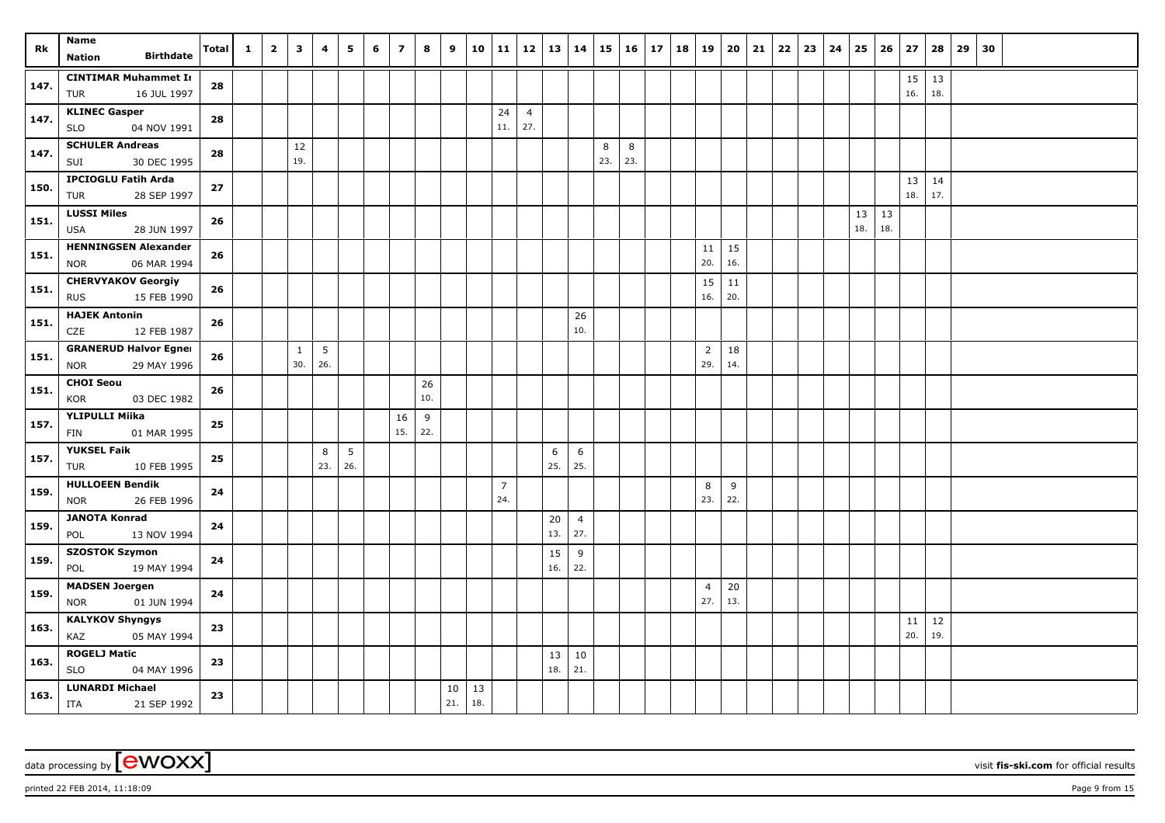| Rk           | Name<br><b>Birthdate</b>                                 | <b>Total</b> | 1 | $\overline{\mathbf{2}}$ | 3            | 4   | 5   | 6 | $\overline{z}$ | 8         | 9   | 10  | 11             |                | $12 \mid 13$ | 14             | 15  | 16      | 17 | 18 | 19                    | 20        | 21 | $22 \mid 23$ | 24 | 25  | 26   | 27        | 28        | 29 | 30 |  |  |
|--------------|----------------------------------------------------------|--------------|---|-------------------------|--------------|-----|-----|---|----------------|-----------|-----|-----|----------------|----------------|--------------|----------------|-----|---------|----|----|-----------------------|-----------|----|--------------|----|-----|------|-----------|-----------|----|----|--|--|
|              | <b>Nation</b>                                            |              |   |                         |              |     |     |   |                |           |     |     |                |                |              |                |     |         |    |    |                       |           |    |              |    |     |      |           |           |    |    |  |  |
| $\vert$ 147. | <b>CINTIMAR Muhammet Ir</b><br>16 JUL 1997<br>TUR        | 28           |   |                         |              |     |     |   |                |           |     |     |                |                |              |                |     |         |    |    |                       |           |    |              |    |     |      | 15<br>16. | 13<br>18. |    |    |  |  |
|              | <b>KLINEC Gasper</b>                                     |              |   |                         |              |     |     |   |                |           |     |     | 24             | $\overline{4}$ |              |                |     |         |    |    |                       |           |    |              |    |     |      |           |           |    |    |  |  |
| 147.         | <b>SLO</b><br>04 NOV 1991                                | 28           |   |                         |              |     |     |   |                |           |     |     | 11.            | 27.            |              |                |     |         |    |    |                       |           |    |              |    |     |      |           |           |    |    |  |  |
|              | <b>SCHULER Andreas</b>                                   |              |   |                         | 12           |     |     |   |                |           |     |     |                |                |              |                | 8   | $\,8\,$ |    |    |                       |           |    |              |    |     |      |           |           |    |    |  |  |
| 147.         | SUI<br>30 DEC 1995                                       | 28           |   |                         | 19.          |     |     |   |                |           |     |     |                |                |              |                | 23. | 23.     |    |    |                       |           |    |              |    |     |      |           |           |    |    |  |  |
| 150.         | <b>IPCIOGLU Fatih Arda</b>                               | 27           |   |                         |              |     |     |   |                |           |     |     |                |                |              |                |     |         |    |    |                       |           |    |              |    |     |      | 13        | 14        |    |    |  |  |
|              | <b>TUR</b><br>28 SEP 1997                                |              |   |                         |              |     |     |   |                |           |     |     |                |                |              |                |     |         |    |    |                       |           |    |              |    |     |      | 18.       | 17.       |    |    |  |  |
| 151.         | <b>LUSSI Miles</b>                                       | 26           |   |                         |              |     |     |   |                |           |     |     |                |                |              |                |     |         |    |    |                       |           |    |              |    | 13  | $13$ |           |           |    |    |  |  |
|              | <b>USA</b><br>28 JUN 1997                                |              |   |                         |              |     |     |   |                |           |     |     |                |                |              |                |     |         |    |    |                       |           |    |              |    | 18. | 18.  |           |           |    |    |  |  |
| 151.         | <b>HENNINGSEN Alexander</b><br>06 MAR 1994<br><b>NOR</b> | 26           |   |                         |              |     |     |   |                |           |     |     |                |                |              |                |     |         |    |    | 11<br>20.             | 15<br>16. |    |              |    |     |      |           |           |    |    |  |  |
|              | <b>CHERVYAKOV Georgiy</b>                                |              |   |                         |              |     |     |   |                |           |     |     |                |                |              |                |     |         |    |    | 15                    | 11        |    |              |    |     |      |           |           |    |    |  |  |
| 151.         | 15 FEB 1990<br><b>RUS</b>                                | 26           |   |                         |              |     |     |   |                |           |     |     |                |                |              |                |     |         |    |    | 16.                   | 20.       |    |              |    |     |      |           |           |    |    |  |  |
| 151.         | <b>HAJEK Antonin</b>                                     | 26           |   |                         |              |     |     |   |                |           |     |     |                |                |              | 26             |     |         |    |    |                       |           |    |              |    |     |      |           |           |    |    |  |  |
|              | CZE<br>12 FEB 1987                                       |              |   |                         |              |     |     |   |                |           |     |     |                |                |              | 10.            |     |         |    |    |                       |           |    |              |    |     |      |           |           |    |    |  |  |
| 151.         | <b>GRANERUD Halvor Egner</b>                             | 26           |   |                         | $\mathbf{1}$ | 5   |     |   |                |           |     |     |                |                |              |                |     |         |    |    | $\overline{2}$        | 18        |    |              |    |     |      |           |           |    |    |  |  |
|              | 29 MAY 1996<br><b>NOR</b>                                |              |   |                         | 30.          | 26. |     |   |                |           |     |     |                |                |              |                |     |         |    |    | 29.                   | 14.       |    |              |    |     |      |           |           |    |    |  |  |
| 151.         | <b>CHOI Seou</b><br>KOR<br>03 DEC 1982                   | 26           |   |                         |              |     |     |   |                | 26<br>10. |     |     |                |                |              |                |     |         |    |    |                       |           |    |              |    |     |      |           |           |    |    |  |  |
|              | <b>YLIPULLI Miika</b>                                    |              |   |                         |              |     |     |   |                |           |     |     |                |                |              |                |     |         |    |    |                       |           |    |              |    |     |      |           |           |    |    |  |  |
| 157.         | 01 MAR 1995<br>FIN                                       | ${\bf 25}$   |   |                         |              |     |     |   | 16<br>15.      | 9<br>22.  |     |     |                |                |              |                |     |         |    |    |                       |           |    |              |    |     |      |           |           |    |    |  |  |
|              | <b>YUKSEL Faik</b>                                       |              |   |                         |              | 8   | 5   |   |                |           |     |     |                |                | 6            | 6              |     |         |    |    |                       |           |    |              |    |     |      |           |           |    |    |  |  |
| 157.         | <b>TUR</b><br>10 FEB 1995                                | 25           |   |                         |              | 23. | 26. |   |                |           |     |     |                |                | 25.          | 25.            |     |         |    |    |                       |           |    |              |    |     |      |           |           |    |    |  |  |
| 159.         | <b>HULLOEEN Bendik</b>                                   | 24           |   |                         |              |     |     |   |                |           |     |     | $\overline{7}$ |                |              |                |     |         |    |    | 8                     | 9         |    |              |    |     |      |           |           |    |    |  |  |
|              | 26 FEB 1996<br><b>NOR</b>                                |              |   |                         |              |     |     |   |                |           |     |     | 24.            |                |              |                |     |         |    |    | 23.                   | 22.       |    |              |    |     |      |           |           |    |    |  |  |
| 159.         | <b>JANOTA Konrad</b>                                     | 24           |   |                         |              |     |     |   |                |           |     |     |                |                | 20           | $\overline{4}$ |     |         |    |    |                       |           |    |              |    |     |      |           |           |    |    |  |  |
|              | 13 NOV 1994<br>POL                                       |              |   |                         |              |     |     |   |                |           |     |     |                |                | 13.          | 27.            |     |         |    |    |                       |           |    |              |    |     |      |           |           |    |    |  |  |
| 159.         | <b>SZOSTOK Szymon</b>                                    | 24           |   |                         |              |     |     |   |                |           |     |     |                |                | 15           | 9              |     |         |    |    |                       |           |    |              |    |     |      |           |           |    |    |  |  |
|              | 19 MAY 1994<br>POL                                       |              |   |                         |              |     |     |   |                |           |     |     |                |                | 16.          | 22.            |     |         |    |    |                       |           |    |              |    |     |      |           |           |    |    |  |  |
| 159.         | <b>MADSEN Joergen</b><br>01 JUN 1994                     | 24           |   |                         |              |     |     |   |                |           |     |     |                |                |              |                |     |         |    |    | $\overline{4}$<br>27. | 20<br>13. |    |              |    |     |      |           |           |    |    |  |  |
|              | <b>NOR</b><br><b>KALYKOV Shyngys</b>                     |              |   |                         |              |     |     |   |                |           |     |     |                |                |              |                |     |         |    |    |                       |           |    |              |    |     |      |           |           |    |    |  |  |
| 163.         | 05 MAY 1994<br>KAZ                                       | 23           |   |                         |              |     |     |   |                |           |     |     |                |                |              |                |     |         |    |    |                       |           |    |              |    |     |      | 11<br>20. | 12<br>19. |    |    |  |  |
|              | <b>ROGELJ Matic</b>                                      |              |   |                         |              |     |     |   |                |           |     |     |                |                | 13           | 10             |     |         |    |    |                       |           |    |              |    |     |      |           |           |    |    |  |  |
| 163.         | <b>SLO</b><br>04 MAY 1996                                | 23           |   |                         |              |     |     |   |                |           |     |     |                |                | 18.          | 21.            |     |         |    |    |                       |           |    |              |    |     |      |           |           |    |    |  |  |
|              | <b>LUNARDI Michael</b>                                   |              |   |                         |              |     |     |   |                |           | 10  | 13  |                |                |              |                |     |         |    |    |                       |           |    |              |    |     |      |           |           |    |    |  |  |
| 163.         | <b>ITA</b><br>21 SEP 1992                                | 23           |   |                         |              |     |     |   |                |           | 21. | 18. |                |                |              |                |     |         |    |    |                       |           |    |              |    |     |      |           |           |    |    |  |  |

printed 22 FEB 2014, 11:18:09 Page 9 from 15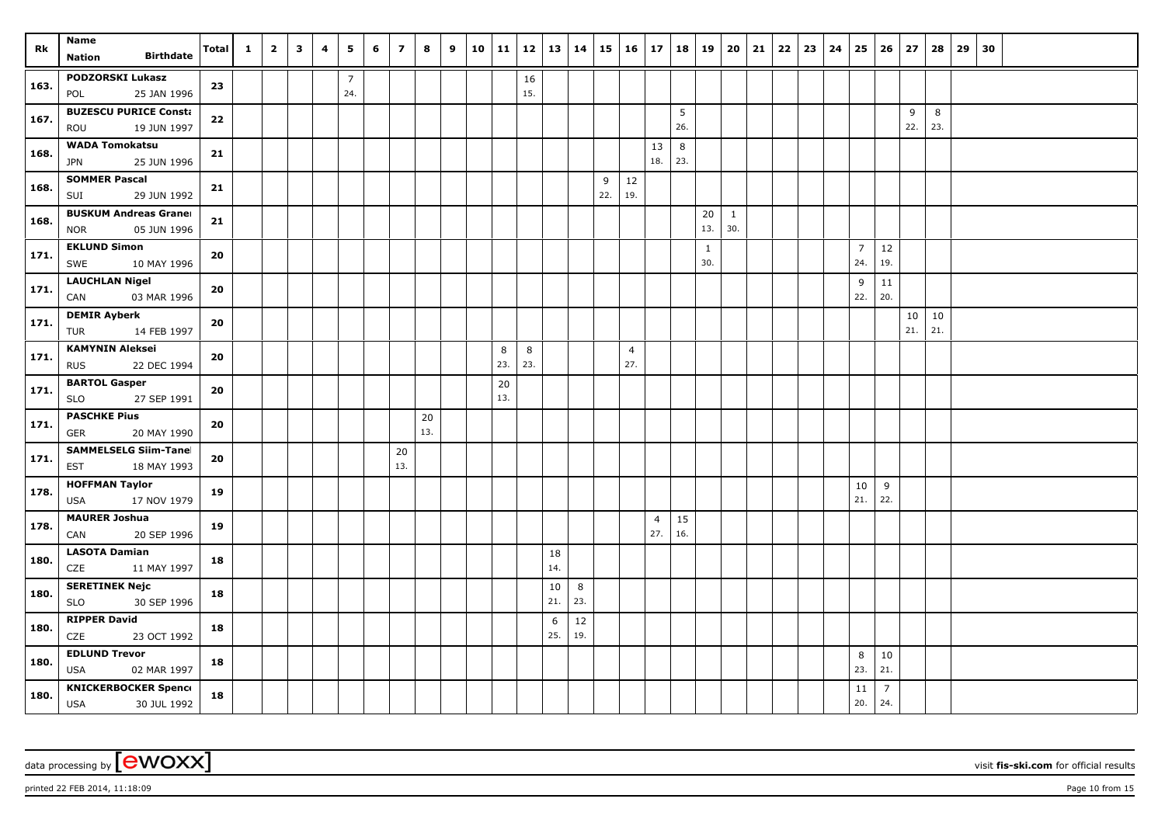| Rk   | Name<br><b>Birthdate</b><br><b>Nation</b>                 | <b>Total</b> | $\mathbf{1}$ | $\overline{2}$ | $\mathbf{3}$ | 4 | 5                     | 6 | $\overline{z}$ | 8         | 9 | 10 | $\vert$ 11 | 12        | 13   14   |           | $15 \mid 16$ |                       | 17                    | 18 19          |                     | 20       | 21 | 22 | 23 | 24 | 25                    | 26                    | 27        | 28        | 29 | 30 |  |  |
|------|-----------------------------------------------------------|--------------|--------------|----------------|--------------|---|-----------------------|---|----------------|-----------|---|----|------------|-----------|-----------|-----------|--------------|-----------------------|-----------------------|----------------|---------------------|----------|----|----|----|----|-----------------------|-----------------------|-----------|-----------|----|----|--|--|
| 163. | <b>PODZORSKI Lukasz</b><br>25 JAN 1996<br>POL             | 23           |              |                |              |   | $\overline{7}$<br>24. |   |                |           |   |    |            | 16<br>15. |           |           |              |                       |                       |                |                     |          |    |    |    |    |                       |                       |           |           |    |    |  |  |
| 167. | <b>BUZESCU PURICE Consta</b><br>19 JUN 1997<br>ROU        | 22           |              |                |              |   |                       |   |                |           |   |    |            |           |           |           |              |                       |                       | 5<br>26.       |                     |          |    |    |    |    |                       |                       | 9<br>22.  | 8<br>23.  |    |    |  |  |
| 168. | <b>WADA Tomokatsu</b><br>JPN<br>25 JUN 1996               | 21           |              |                |              |   |                       |   |                |           |   |    |            |           |           |           |              |                       | 13<br>18.             | $\bf 8$<br>23. |                     |          |    |    |    |    |                       |                       |           |           |    |    |  |  |
| 168. | <b>SOMMER Pascal</b><br>SUI<br>29 JUN 1992                | 21           |              |                |              |   |                       |   |                |           |   |    |            |           |           |           | 9<br>22.     | 12<br>19.             |                       |                |                     |          |    |    |    |    |                       |                       |           |           |    |    |  |  |
| 168. | <b>BUSKUM Andreas Graner</b><br><b>NOR</b><br>05 JUN 1996 | 21           |              |                |              |   |                       |   |                |           |   |    |            |           |           |           |              |                       |                       |                | 20<br>13.           | 1<br>30. |    |    |    |    |                       |                       |           |           |    |    |  |  |
| 171. | <b>EKLUND Simon</b><br>SWE<br>10 MAY 1996                 | 20           |              |                |              |   |                       |   |                |           |   |    |            |           |           |           |              |                       |                       |                | $\mathbf{1}$<br>30. |          |    |    |    |    | $\overline{7}$<br>24. | 12<br>19.             |           |           |    |    |  |  |
| 171. | <b>LAUCHLAN Nigel</b><br>03 MAR 1996<br>CAN               | 20           |              |                |              |   |                       |   |                |           |   |    |            |           |           |           |              |                       |                       |                |                     |          |    |    |    |    | 9<br>22.              | 11<br>20.             |           |           |    |    |  |  |
| 171. | <b>DEMIR Ayberk</b><br>TUR<br>14 FEB 1997                 | 20           |              |                |              |   |                       |   |                |           |   |    |            |           |           |           |              |                       |                       |                |                     |          |    |    |    |    |                       |                       | 10<br>21. | 10<br>21. |    |    |  |  |
| 171. | <b>KAMYNIN Aleksei</b><br>22 DEC 1994<br><b>RUS</b>       | 20           |              |                |              |   |                       |   |                |           |   |    | 8<br>23.   | 8<br>23.  |           |           |              | $\overline{4}$<br>27. |                       |                |                     |          |    |    |    |    |                       |                       |           |           |    |    |  |  |
| 171. | <b>BARTOL Gasper</b><br><b>SLO</b><br>27 SEP 1991         | 20           |              |                |              |   |                       |   |                |           |   |    | 20<br>13.  |           |           |           |              |                       |                       |                |                     |          |    |    |    |    |                       |                       |           |           |    |    |  |  |
| 171. | <b>PASCHKE Pius</b><br><b>GER</b><br>20 MAY 1990          | 20           |              |                |              |   |                       |   |                | 20<br>13. |   |    |            |           |           |           |              |                       |                       |                |                     |          |    |    |    |    |                       |                       |           |           |    |    |  |  |
| 171. | <b>SAMMELSELG Siim-Tanel</b><br>18 MAY 1993<br><b>EST</b> | 20           |              |                |              |   |                       |   | 20<br>13.      |           |   |    |            |           |           |           |              |                       |                       |                |                     |          |    |    |    |    |                       |                       |           |           |    |    |  |  |
| 178. | <b>HOFFMAN Taylor</b><br>17 NOV 1979<br>USA               | 19           |              |                |              |   |                       |   |                |           |   |    |            |           |           |           |              |                       |                       |                |                     |          |    |    |    |    | 10<br>21.             | 9<br>22.              |           |           |    |    |  |  |
| 178. | <b>MAURER Joshua</b><br>20 SEP 1996<br>CAN                | 19           |              |                |              |   |                       |   |                |           |   |    |            |           |           |           |              |                       | $\overline{4}$<br>27. | 15<br>16.      |                     |          |    |    |    |    |                       |                       |           |           |    |    |  |  |
| 180. | <b>LASOTA Damian</b><br>11 MAY 1997<br>CZE                | 18           |              |                |              |   |                       |   |                |           |   |    |            |           | 18<br>14. |           |              |                       |                       |                |                     |          |    |    |    |    |                       |                       |           |           |    |    |  |  |
| 180. | <b>SERETINEK Nejc</b><br>SLO<br>30 SEP 1996               | 18           |              |                |              |   |                       |   |                |           |   |    |            |           | 10<br>21. | 8<br>23.  |              |                       |                       |                |                     |          |    |    |    |    |                       |                       |           |           |    |    |  |  |
| 180. | <b>RIPPER David</b><br>CZE<br>23 OCT 1992                 | 18           |              |                |              |   |                       |   |                |           |   |    |            |           | 6<br>25.  | 12<br>19. |              |                       |                       |                |                     |          |    |    |    |    |                       |                       |           |           |    |    |  |  |
| 180. | <b>EDLUND Trevor</b><br><b>USA</b><br>02 MAR 1997         | 18           |              |                |              |   |                       |   |                |           |   |    |            |           |           |           |              |                       |                       |                |                     |          |    |    |    |    | 8<br>23.              | $10\,$<br>21.         |           |           |    |    |  |  |
| 180. | <b>KNICKERBOCKER Spence</b><br><b>USA</b><br>30 JUL 1992  | 18           |              |                |              |   |                       |   |                |           |   |    |            |           |           |           |              |                       |                       |                |                     |          |    |    |    |    | 11<br>20.             | $\overline{7}$<br>24. |           |           |    |    |  |  |

printed 22 FEB 2014, 11:18:09 Page 10 from 15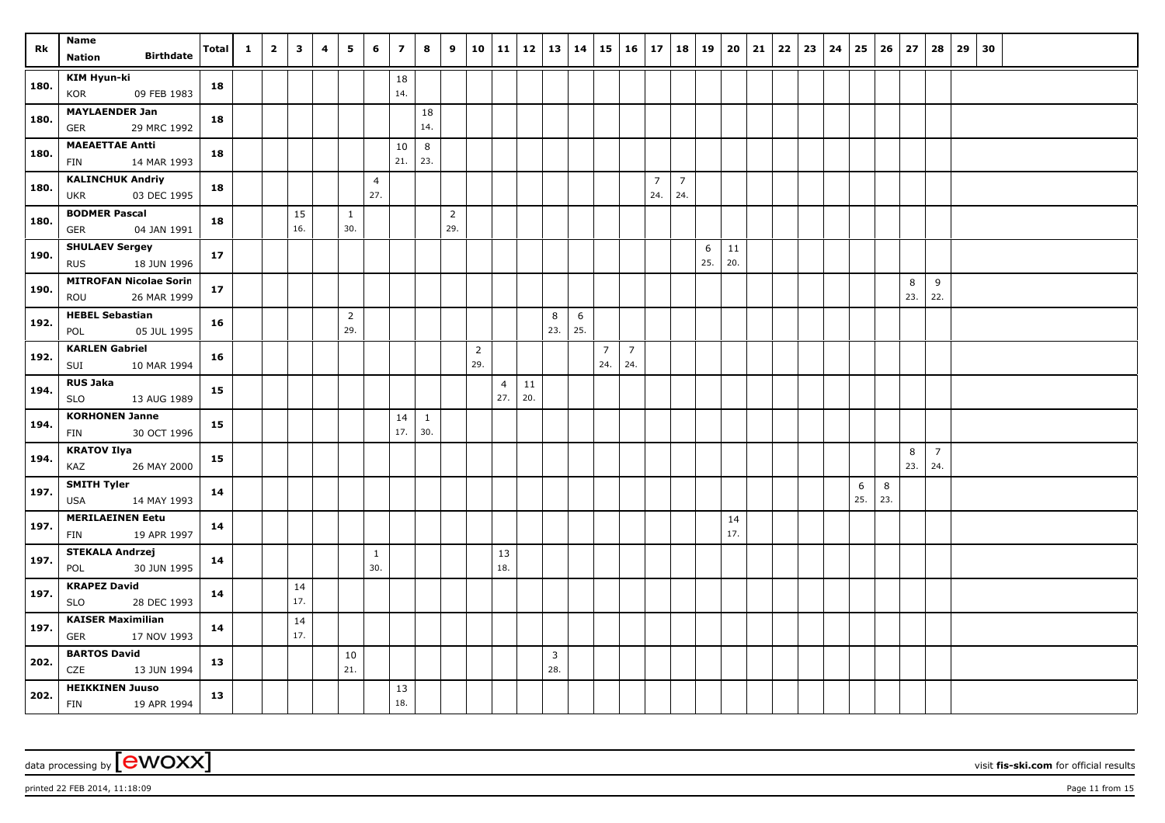| Rk   | Name                                                  |       | $\mathbf{1}$ | $\overline{2}$ | $\mathbf{3}$ | 4 | 5                     | 6                     | $\overline{\mathbf{z}}$ | 8                   | 9                     | 10                    | 11 12                 |           | 13   14               |          |                       | $15 \mid 16 \mid$     | 17                    | 18                    | 19       | 20        | 21 | $22 \mid 23$ | 24 | 25       | 26       | 27       | 28                    | 29 | 30 |  |  |
|------|-------------------------------------------------------|-------|--------------|----------------|--------------|---|-----------------------|-----------------------|-------------------------|---------------------|-----------------------|-----------------------|-----------------------|-----------|-----------------------|----------|-----------------------|-----------------------|-----------------------|-----------------------|----------|-----------|----|--------------|----|----------|----------|----------|-----------------------|----|----|--|--|
|      | <b>Birthdate</b><br><b>Nation</b>                     | Total |              |                |              |   |                       |                       |                         |                     |                       |                       |                       |           |                       |          |                       |                       |                       |                       |          |           |    |              |    |          |          |          |                       |    |    |  |  |
| 180. | <b>KIM Hyun-ki</b><br>09 FEB 1983<br>KOR              | 18    |              |                |              |   |                       |                       | 18<br>14.               |                     |                       |                       |                       |           |                       |          |                       |                       |                       |                       |          |           |    |              |    |          |          |          |                       |    |    |  |  |
| 180. | <b>MAYLAENDER Jan</b><br>29 MRC 1992<br><b>GER</b>    | 18    |              |                |              |   |                       |                       |                         | 18<br>14.           |                       |                       |                       |           |                       |          |                       |                       |                       |                       |          |           |    |              |    |          |          |          |                       |    |    |  |  |
| 180. | <b>MAEAETTAE Antti</b><br>14 MAR 1993<br><b>FIN</b>   | 18    |              |                |              |   |                       |                       | 10<br>21.               | $\,8\,$<br>23.      |                       |                       |                       |           |                       |          |                       |                       |                       |                       |          |           |    |              |    |          |          |          |                       |    |    |  |  |
| 180. | <b>KALINCHUK Andriy</b><br>03 DEC 1995<br><b>UKR</b>  | 18    |              |                |              |   |                       | $\overline{4}$<br>27. |                         |                     |                       |                       |                       |           |                       |          |                       |                       | $\overline{7}$<br>24. | $\overline{7}$<br>24. |          |           |    |              |    |          |          |          |                       |    |    |  |  |
| 180. | <b>BODMER Pascal</b><br>04 JAN 1991<br><b>GER</b>     | 18    |              |                | 15<br>16.    |   | $\mathbf{1}$<br>30.   |                       |                         |                     | $\overline{2}$<br>29. |                       |                       |           |                       |          |                       |                       |                       |                       |          |           |    |              |    |          |          |          |                       |    |    |  |  |
| 190. | <b>SHULAEV Sergey</b><br>18 JUN 1996<br><b>RUS</b>    | 17    |              |                |              |   |                       |                       |                         |                     |                       |                       |                       |           |                       |          |                       |                       |                       |                       | 6<br>25. | 11<br>20. |    |              |    |          |          |          |                       |    |    |  |  |
| 190. | <b>MITROFAN Nicolae Sorin</b><br>26 MAR 1999<br>ROU   | 17    |              |                |              |   |                       |                       |                         |                     |                       |                       |                       |           |                       |          |                       |                       |                       |                       |          |           |    |              |    |          |          | 8<br>23. | 9<br>22.              |    |    |  |  |
| 192. | <b>HEBEL Sebastian</b><br>05 JUL 1995<br>POL          | 16    |              |                |              |   | $\overline{2}$<br>29. |                       |                         |                     |                       |                       |                       |           | 8<br>23.              | 6<br>25. |                       |                       |                       |                       |          |           |    |              |    |          |          |          |                       |    |    |  |  |
| 192. | <b>KARLEN Gabriel</b><br>10 MAR 1994<br>SUI           | 16    |              |                |              |   |                       |                       |                         |                     |                       | $\overline{2}$<br>29. |                       |           |                       |          | $\overline{7}$<br>24. | $\overline{7}$<br>24. |                       |                       |          |           |    |              |    |          |          |          |                       |    |    |  |  |
| 194. | <b>RUS Jaka</b><br>SLO<br>13 AUG 1989                 | 15    |              |                |              |   |                       |                       |                         |                     |                       |                       | $\overline{4}$<br>27. | 11<br>20. |                       |          |                       |                       |                       |                       |          |           |    |              |    |          |          |          |                       |    |    |  |  |
| 194. | <b>KORHONEN Janne</b><br>30 OCT 1996<br><b>FIN</b>    | 15    |              |                |              |   |                       |                       | $14\,$<br>17.           | $\mathbf{1}$<br>30. |                       |                       |                       |           |                       |          |                       |                       |                       |                       |          |           |    |              |    |          |          |          |                       |    |    |  |  |
| 194. | <b>KRATOV Ilya</b><br>KAZ<br>26 MAY 2000              | 15    |              |                |              |   |                       |                       |                         |                     |                       |                       |                       |           |                       |          |                       |                       |                       |                       |          |           |    |              |    |          |          | 8<br>23. | $\overline{7}$<br>24. |    |    |  |  |
| 197. | <b>SMITH Tyler</b><br><b>USA</b><br>14 MAY 1993       | 14    |              |                |              |   |                       |                       |                         |                     |                       |                       |                       |           |                       |          |                       |                       |                       |                       |          |           |    |              |    | 6<br>25. | 8<br>23. |          |                       |    |    |  |  |
| 197. | <b>MERILAEINEN Eetu</b><br>19 APR 1997<br><b>FIN</b>  | 14    |              |                |              |   |                       |                       |                         |                     |                       |                       |                       |           |                       |          |                       |                       |                       |                       |          | 14<br>17. |    |              |    |          |          |          |                       |    |    |  |  |
| 197. | <b>STEKALA Andrzej</b><br>30 JUN 1995<br>POL          | 14    |              |                |              |   |                       | $\mathbf{1}$<br>30.   |                         |                     |                       |                       | 13<br>18.             |           |                       |          |                       |                       |                       |                       |          |           |    |              |    |          |          |          |                       |    |    |  |  |
| 197. | <b>KRAPEZ David</b><br><b>SLO</b><br>28 DEC 1993      | 14    |              |                | 14<br>17.    |   |                       |                       |                         |                     |                       |                       |                       |           |                       |          |                       |                       |                       |                       |          |           |    |              |    |          |          |          |                       |    |    |  |  |
| 197. | <b>KAISER Maximilian</b><br>17 NOV 1993<br><b>GER</b> | 14    |              |                | 14<br>17.    |   |                       |                       |                         |                     |                       |                       |                       |           |                       |          |                       |                       |                       |                       |          |           |    |              |    |          |          |          |                       |    |    |  |  |
| 202. | <b>BARTOS David</b><br>CZE<br>13 JUN 1994             | 13    |              |                |              |   | 10<br>21.             |                       |                         |                     |                       |                       |                       |           | $\overline{3}$<br>28. |          |                       |                       |                       |                       |          |           |    |              |    |          |          |          |                       |    |    |  |  |
| 202. | <b>HEIKKINEN Juuso</b><br>FIN<br>19 APR 1994          | 13    |              |                |              |   |                       |                       | 13<br>18.               |                     |                       |                       |                       |           |                       |          |                       |                       |                       |                       |          |           |    |              |    |          |          |          |                       |    |    |  |  |

printed 22 FEB 2014, 11:18:09 Page 11 from 15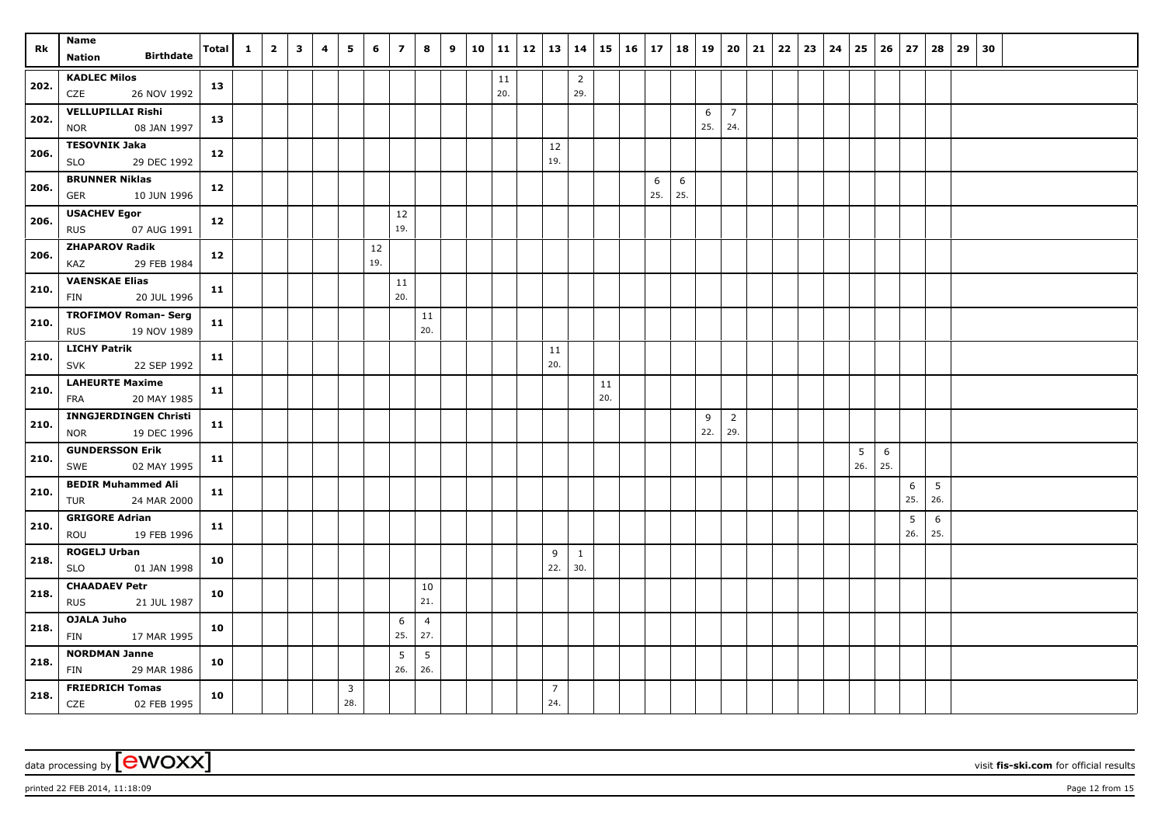| Rk   | Name<br><b>Birthdate</b><br><b>Nation</b>             | <b>Total</b> | $\mathbf{1}$ | $\overline{2}$ | $\overline{\mathbf{3}}$ | 4 | 5                     | 6         | $\overline{\mathbf{z}}$ | 8                      | 9 | 10 | 11   12   13   14 |                       |                       |     | $15 \mid 16 \mid 17$ |          | 18       | 19       | $20 \mid 21$          |  | $22 \mid 23$ | 24 | 25       | 26       | 27                     | 28                     | $29 \mid 30$ |  |  |
|------|-------------------------------------------------------|--------------|--------------|----------------|-------------------------|---|-----------------------|-----------|-------------------------|------------------------|---|----|-------------------|-----------------------|-----------------------|-----|----------------------|----------|----------|----------|-----------------------|--|--------------|----|----------|----------|------------------------|------------------------|--------------|--|--|
|      |                                                       |              |              |                |                         |   |                       |           |                         |                        |   |    |                   |                       |                       |     |                      |          |          |          |                       |  |              |    |          |          |                        |                        |              |  |  |
| 202. | <b>KADLEC Milos</b><br>CZE<br>26 NOV 1992             | 13           |              |                |                         |   |                       |           |                         |                        |   |    | 11<br>20.         |                       | $\overline{2}$<br>29. |     |                      |          |          |          |                       |  |              |    |          |          |                        |                        |              |  |  |
| 202. | <b>VELLUPILLAI Rishi</b><br>08 JAN 1997<br><b>NOR</b> | 13           |              |                |                         |   |                       |           |                         |                        |   |    |                   |                       |                       |     |                      |          |          | 6<br>25. | $\overline{7}$<br>24. |  |              |    |          |          |                        |                        |              |  |  |
| 206. | <b>TESOVNIK Jaka</b><br><b>SLO</b><br>29 DEC 1992     | 12           |              |                |                         |   |                       |           |                         |                        |   |    |                   | $12\,$<br>19.         |                       |     |                      |          |          |          |                       |  |              |    |          |          |                        |                        |              |  |  |
| 206. | <b>BRUNNER Niklas</b>                                 | 12           |              |                |                         |   |                       |           |                         |                        |   |    |                   |                       |                       |     |                      | 6<br>25. | 6<br>25. |          |                       |  |              |    |          |          |                        |                        |              |  |  |
|      | <b>GER</b><br>10 JUN 1996                             |              |              |                |                         |   |                       |           |                         |                        |   |    |                   |                       |                       |     |                      |          |          |          |                       |  |              |    |          |          |                        |                        |              |  |  |
| 206. | <b>USACHEV Egor</b><br><b>RUS</b><br>07 AUG 1991      | 12           |              |                |                         |   |                       |           | 12<br>19.               |                        |   |    |                   |                       |                       |     |                      |          |          |          |                       |  |              |    |          |          |                        |                        |              |  |  |
| 206. | <b>ZHAPAROV Radik</b><br>KAZ<br>29 FEB 1984           | 12           |              |                |                         |   |                       | 12<br>19. |                         |                        |   |    |                   |                       |                       |     |                      |          |          |          |                       |  |              |    |          |          |                        |                        |              |  |  |
| 210. | <b>VAENSKAE Elias</b><br>20 JUL 1996<br>FIN           | 11           |              |                |                         |   |                       |           | 11<br>20.               |                        |   |    |                   |                       |                       |     |                      |          |          |          |                       |  |              |    |          |          |                        |                        |              |  |  |
|      | <b>TROFIMOV Roman- Serg</b>                           |              |              |                |                         |   |                       |           |                         | 11                     |   |    |                   |                       |                       |     |                      |          |          |          |                       |  |              |    |          |          |                        |                        |              |  |  |
| 210. | 19 NOV 1989<br><b>RUS</b>                             | 11           |              |                |                         |   |                       |           |                         | 20.                    |   |    |                   |                       |                       |     |                      |          |          |          |                       |  |              |    |          |          |                        |                        |              |  |  |
| 210. | <b>LICHY Patrik</b><br>22 SEP 1992<br><b>SVK</b>      | 11           |              |                |                         |   |                       |           |                         |                        |   |    |                   | 11<br>20.             |                       |     |                      |          |          |          |                       |  |              |    |          |          |                        |                        |              |  |  |
|      | <b>LAHEURTE Maxime</b>                                |              |              |                |                         |   |                       |           |                         |                        |   |    |                   |                       |                       | 11  |                      |          |          |          |                       |  |              |    |          |          |                        |                        |              |  |  |
| 210. | 20 MAY 1985<br><b>FRA</b>                             | 11           |              |                |                         |   |                       |           |                         |                        |   |    |                   |                       |                       | 20. |                      |          |          |          |                       |  |              |    |          |          |                        |                        |              |  |  |
| 210. | <b>INNGJERDINGEN Christi</b>                          | 11           |              |                |                         |   |                       |           |                         |                        |   |    |                   |                       |                       |     |                      |          |          | 9<br>22. | $\overline{2}$<br>29. |  |              |    |          |          |                        |                        |              |  |  |
|      | <b>NOR</b><br>19 DEC 1996<br><b>GUNDERSSON Erik</b>   |              |              |                |                         |   |                       |           |                         |                        |   |    |                   |                       |                       |     |                      |          |          |          |                       |  |              |    |          |          |                        |                        |              |  |  |
| 210. | SWE<br>02 MAY 1995                                    | 11           |              |                |                         |   |                       |           |                         |                        |   |    |                   |                       |                       |     |                      |          |          |          |                       |  |              |    | 5<br>26. | 6<br>25. |                        |                        |              |  |  |
| 210. | <b>BEDIR Muhammed Ali</b><br>24 MAR 2000<br>TUR       | 11           |              |                |                         |   |                       |           |                         |                        |   |    |                   |                       |                       |     |                      |          |          |          |                       |  |              |    |          |          | 6<br>25.               | $5\overline{)}$<br>26. |              |  |  |
| 210. | <b>GRIGORE Adrian</b><br>19 FEB 1996<br>ROU           | 11           |              |                |                         |   |                       |           |                         |                        |   |    |                   |                       |                       |     |                      |          |          |          |                       |  |              |    |          |          | $5\phantom{.0}$<br>26. | 6<br>25.               |              |  |  |
| 218. | <b>ROGELJ Urban</b><br>01 JAN 1998<br><b>SLO</b>      | 10           |              |                |                         |   |                       |           |                         |                        |   |    |                   | 9<br>22.              | $\mathbf{1}$<br>30.   |     |                      |          |          |          |                       |  |              |    |          |          |                        |                        |              |  |  |
| 218. | <b>CHAADAEV Petr</b><br><b>RUS</b><br>21 JUL 1987     | 10           |              |                |                         |   |                       |           |                         | 10<br>21.              |   |    |                   |                       |                       |     |                      |          |          |          |                       |  |              |    |          |          |                        |                        |              |  |  |
|      | <b>OJALA Juho</b>                                     |              |              |                |                         |   |                       |           | 6                       | $\overline{4}$         |   |    |                   |                       |                       |     |                      |          |          |          |                       |  |              |    |          |          |                        |                        |              |  |  |
| 218. | 17 MAR 1995<br>FIN                                    | 10           |              |                |                         |   |                       |           | 25.                     | 27.                    |   |    |                   |                       |                       |     |                      |          |          |          |                       |  |              |    |          |          |                        |                        |              |  |  |
| 218. | <b>NORDMAN Janne</b><br>FIN<br>29 MAR 1986            | 10           |              |                |                         |   |                       |           | 5<br>26.                | $5\phantom{.0}$<br>26. |   |    |                   |                       |                       |     |                      |          |          |          |                       |  |              |    |          |          |                        |                        |              |  |  |
| 218. | <b>FRIEDRICH Tomas</b><br>CZE<br>02 FEB 1995          | 10           |              |                |                         |   | $\overline{3}$<br>28. |           |                         |                        |   |    |                   | $\overline{7}$<br>24. |                       |     |                      |          |          |          |                       |  |              |    |          |          |                        |                        |              |  |  |

printed 22 FEB 2014, 11:18:09 Page 12 from 15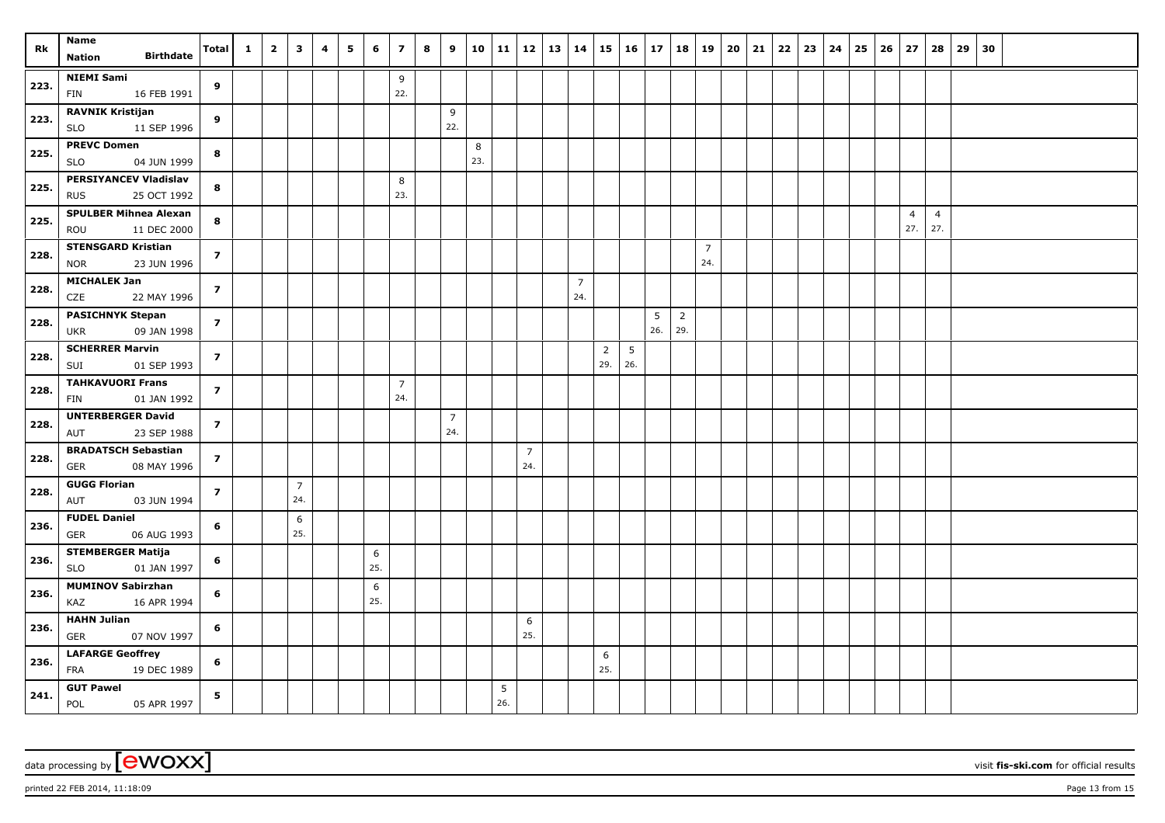| Rk   | <b>Name</b>                                               | <b>Total</b>            | $\mathbf{1}$ | $\overline{\mathbf{2}}$ | $\overline{\mathbf{3}}$ | 4 | 5 | 6        | $\overline{z}$        | 8 | 9                     | 10       |          | $11 \mid 12$          | 13   14 |                       | 15                    | $16 \mid 17$           |          | 18                    | 19                    | 20 | 21 | 22 | $23 \mid 24$ | 25 | 26 | 27                    | 28                    | 29 | 30 |  |  |
|------|-----------------------------------------------------------|-------------------------|--------------|-------------------------|-------------------------|---|---|----------|-----------------------|---|-----------------------|----------|----------|-----------------------|---------|-----------------------|-----------------------|------------------------|----------|-----------------------|-----------------------|----|----|----|--------------|----|----|-----------------------|-----------------------|----|----|--|--|
|      | <b>Birthdate</b><br><b>Nation</b>                         |                         |              |                         |                         |   |   |          |                       |   |                       |          |          |                       |         |                       |                       |                        |          |                       |                       |    |    |    |              |    |    |                       |                       |    |    |  |  |
| 223. | <b>NIEMI Sami</b><br>16 FEB 1991<br>FIN                   | 9                       |              |                         |                         |   |   |          | 9<br>22.              |   |                       |          |          |                       |         |                       |                       |                        |          |                       |                       |    |    |    |              |    |    |                       |                       |    |    |  |  |
| 223. | <b>RAVNIK Kristijan</b><br>11 SEP 1996<br><b>SLO</b>      | 9                       |              |                         |                         |   |   |          |                       |   | 9<br>22.              |          |          |                       |         |                       |                       |                        |          |                       |                       |    |    |    |              |    |    |                       |                       |    |    |  |  |
| 225. | <b>PREVC Domen</b><br><b>SLO</b><br>04 JUN 1999           | 8                       |              |                         |                         |   |   |          |                       |   |                       | 8<br>23. |          |                       |         |                       |                       |                        |          |                       |                       |    |    |    |              |    |    |                       |                       |    |    |  |  |
| 225. | <b>PERSIYANCEV Vladislav</b><br>25 OCT 1992<br><b>RUS</b> | 8                       |              |                         |                         |   |   |          | 8<br>23.              |   |                       |          |          |                       |         |                       |                       |                        |          |                       |                       |    |    |    |              |    |    |                       |                       |    |    |  |  |
| 225. | <b>SPULBER Mihnea Alexan</b><br>11 DEC 2000<br>ROU        | 8                       |              |                         |                         |   |   |          |                       |   |                       |          |          |                       |         |                       |                       |                        |          |                       |                       |    |    |    |              |    |    | $\overline{4}$<br>27. | $\overline{4}$<br>27. |    |    |  |  |
| 228. | <b>STENSGARD Kristian</b><br><b>NOR</b><br>23 JUN 1996    | $\overline{z}$          |              |                         |                         |   |   |          |                       |   |                       |          |          |                       |         |                       |                       |                        |          |                       | $\overline{7}$<br>24. |    |    |    |              |    |    |                       |                       |    |    |  |  |
| 228. | <b>MICHALEK Jan</b><br><b>CZE</b><br>22 MAY 1996          | $\overline{\mathbf{z}}$ |              |                         |                         |   |   |          |                       |   |                       |          |          |                       |         | $\overline{7}$<br>24. |                       |                        |          |                       |                       |    |    |    |              |    |    |                       |                       |    |    |  |  |
| 228. | <b>PASICHNYK Stepan</b><br>09 JAN 1998<br><b>UKR</b>      | $\overline{7}$          |              |                         |                         |   |   |          |                       |   |                       |          |          |                       |         |                       |                       |                        | 5<br>26. | $\overline{2}$<br>29. |                       |    |    |    |              |    |    |                       |                       |    |    |  |  |
| 228. | <b>SCHERRER Marvin</b><br>01 SEP 1993<br>SUI              | $\overline{z}$          |              |                         |                         |   |   |          |                       |   |                       |          |          |                       |         |                       | $\overline{2}$<br>29. | $5\phantom{.0}$<br>26. |          |                       |                       |    |    |    |              |    |    |                       |                       |    |    |  |  |
| 228. | <b>TAHKAVUORI Frans</b><br><b>FIN</b><br>01 JAN 1992      | $\overline{z}$          |              |                         |                         |   |   |          | $\overline{7}$<br>24. |   |                       |          |          |                       |         |                       |                       |                        |          |                       |                       |    |    |    |              |    |    |                       |                       |    |    |  |  |
| 228. | <b>UNTERBERGER David</b><br>AUT<br>23 SEP 1988            | $\overline{z}$          |              |                         |                         |   |   |          |                       |   | $\overline{7}$<br>24. |          |          |                       |         |                       |                       |                        |          |                       |                       |    |    |    |              |    |    |                       |                       |    |    |  |  |
| 228. | <b>BRADATSCH Sebastian</b><br>GER<br>08 MAY 1996          | $\overline{z}$          |              |                         |                         |   |   |          |                       |   |                       |          |          | $\overline{7}$<br>24. |         |                       |                       |                        |          |                       |                       |    |    |    |              |    |    |                       |                       |    |    |  |  |
| 228. | <b>GUGG Florian</b><br>AUT<br>03 JUN 1994                 | $\overline{z}$          |              |                         | $\overline{7}$<br>24.   |   |   |          |                       |   |                       |          |          |                       |         |                       |                       |                        |          |                       |                       |    |    |    |              |    |    |                       |                       |    |    |  |  |
| 236. | <b>FUDEL Daniel</b><br>06 AUG 1993<br>GER                 | 6                       |              |                         | 6<br>25.                |   |   |          |                       |   |                       |          |          |                       |         |                       |                       |                        |          |                       |                       |    |    |    |              |    |    |                       |                       |    |    |  |  |
| 236. | <b>STEMBERGER Matija</b><br><b>SLO</b><br>01 JAN 1997     | 6                       |              |                         |                         |   |   | 6<br>25. |                       |   |                       |          |          |                       |         |                       |                       |                        |          |                       |                       |    |    |    |              |    |    |                       |                       |    |    |  |  |
| 236. | <b>MUMINOV Sabirzhan</b><br>KAZ<br>16 APR 1994            | 6                       |              |                         |                         |   |   | 6<br>25. |                       |   |                       |          |          |                       |         |                       |                       |                        |          |                       |                       |    |    |    |              |    |    |                       |                       |    |    |  |  |
| 236. | <b>HAHN</b> Julian<br>GER<br>07 NOV 1997                  | 6                       |              |                         |                         |   |   |          |                       |   |                       |          |          | 6<br>25.              |         |                       |                       |                        |          |                       |                       |    |    |    |              |    |    |                       |                       |    |    |  |  |
| 236. | <b>LAFARGE Geoffrey</b><br>FRA<br>19 DEC 1989             | 6                       |              |                         |                         |   |   |          |                       |   |                       |          |          |                       |         |                       | 6<br>25.              |                        |          |                       |                       |    |    |    |              |    |    |                       |                       |    |    |  |  |
| 241. | <b>GUT Pawel</b><br>POL<br>05 APR 1997                    | 5                       |              |                         |                         |   |   |          |                       |   |                       |          | 5<br>26. |                       |         |                       |                       |                        |          |                       |                       |    |    |    |              |    |    |                       |                       |    |    |  |  |

printed 22 FEB 2014, 11:18:09 Page 13 from 15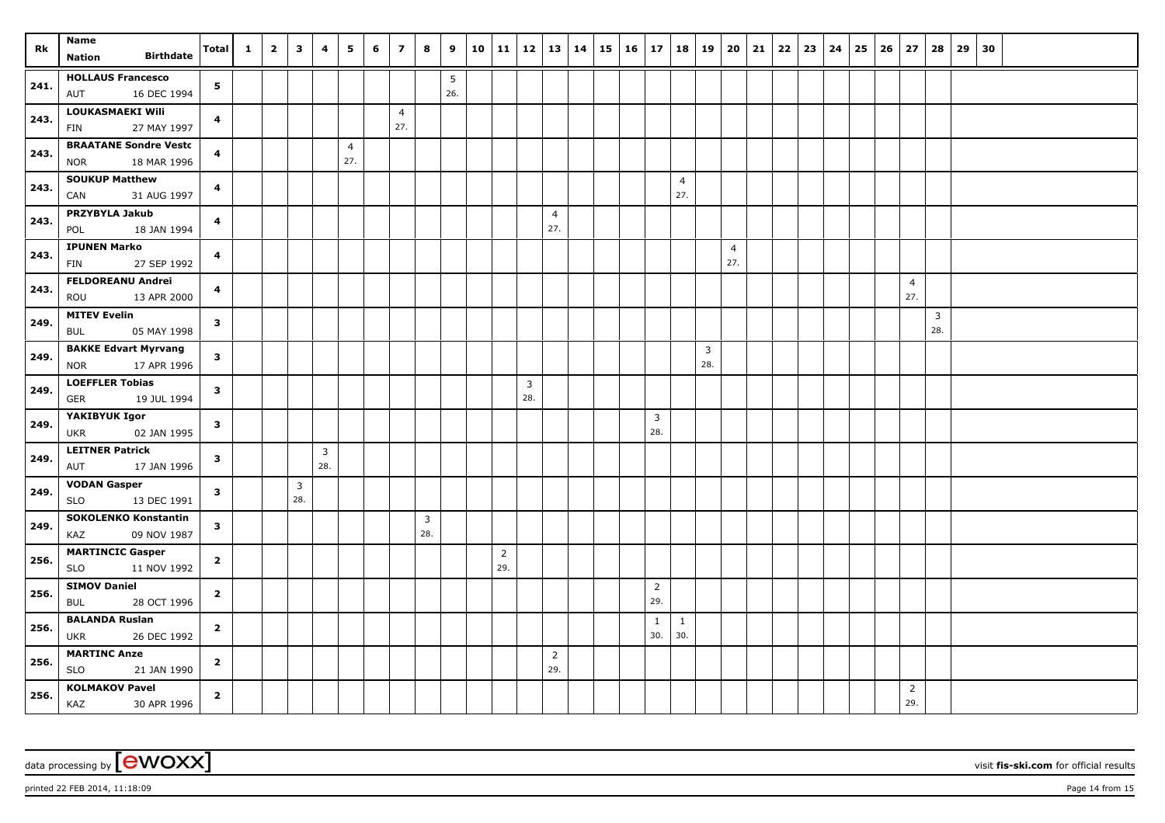| Rk   | Name                                               | Total          | $\mathbf{1}$ | $\overline{\mathbf{2}}$ | $\overline{\mathbf{3}}$ | 4   | 5              | 6 | $\overline{z}$ | 8              | 9   | 10 |                | $11 \mid 12$            |                       | 13   14 | 15             | $16 \mid 17$ |                     | 18                  | 19             | 20                    | 21 | 22 | $23 \mid 24$ | 25 | 26 | 27             | 28             | 29 | 30 |                       |  |  |  |  |  |  |  |  |  |  |  |  |  |  |  |  |
|------|----------------------------------------------------|----------------|--------------|-------------------------|-------------------------|-----|----------------|---|----------------|----------------|-----|----|----------------|-------------------------|-----------------------|---------|----------------|--------------|---------------------|---------------------|----------------|-----------------------|----|----|--------------|----|----|----------------|----------------|----|----|-----------------------|--|--|--|--|--|--|--|--|--|--|--|--|--|--|--|--|
|      | <b>Birthdate</b><br><b>Nation</b>                  |                |              |                         |                         |     |                |   |                |                |     |    |                |                         |                       |         |                |              |                     |                     |                |                       |    |    |              |    |    |                |                |    |    |                       |  |  |  |  |  |  |  |  |  |  |  |  |  |  |  |  |
| 241. | <b>HOLLAUS Francesco</b>                           | 5 <sub>1</sub> |              |                         |                         |     |                |   |                |                | 5   |    |                |                         |                       |         |                |              |                     |                     |                |                       |    |    |              |    |    |                |                |    |    |                       |  |  |  |  |  |  |  |  |  |  |  |  |  |  |  |  |
|      | AUT<br>16 DEC 1994                                 |                |              |                         |                         |     |                |   |                |                | 26. |    |                |                         |                       |         |                |              |                     |                     |                |                       |    |    |              |    |    |                |                |    |    |                       |  |  |  |  |  |  |  |  |  |  |  |  |  |  |  |  |
| 243. | LOUKASMAEKI Wili                                   | 4              |              |                         |                         |     |                |   | $\overline{4}$ |                |     |    |                |                         |                       |         |                |              |                     |                     |                |                       |    |    |              |    |    |                |                |    |    |                       |  |  |  |  |  |  |  |  |  |  |  |  |  |  |  |  |
|      | 27 MAY 1997<br><b>FIN</b>                          |                |              |                         |                         |     |                |   | 27.            |                |     |    |                |                         |                       |         |                |              |                     |                     |                |                       |    |    |              |    |    |                |                |    |    |                       |  |  |  |  |  |  |  |  |  |  |  |  |  |  |  |  |
| 243. | <b>BRAATANE Sondre Vesto</b>                       | 4              |              |                         |                         |     | $\overline{4}$ |   |                |                |     |    |                |                         |                       |         |                |              |                     |                     |                |                       |    |    |              |    |    |                |                |    |    |                       |  |  |  |  |  |  |  |  |  |  |  |  |  |  |  |  |
|      | 18 MAR 1996<br><b>NOR</b>                          |                |              |                         |                         |     | 27.            |   |                |                |     |    |                |                         |                       |         |                |              |                     |                     |                |                       |    |    |              |    |    |                |                |    |    |                       |  |  |  |  |  |  |  |  |  |  |  |  |  |  |  |  |
| 243. | <b>SOUKUP Matthew</b>                              | 4              |              |                         |                         |     |                |   |                |                |     |    |                |                         |                       |         |                |              |                     | $\overline{4}$      |                |                       |    |    |              |    |    |                |                |    |    |                       |  |  |  |  |  |  |  |  |  |  |  |  |  |  |  |  |
|      | CAN<br>31 AUG 1997                                 |                |              |                         |                         |     |                |   |                |                |     |    |                |                         |                       |         |                |              |                     | 27.                 |                |                       |    |    |              |    |    |                |                |    |    |                       |  |  |  |  |  |  |  |  |  |  |  |  |  |  |  |  |
| 243. | <b>PRZYBYLA Jakub</b>                              | 4              |              |                         |                         |     |                |   |                |                |     |    |                |                         | $\overline{4}$        |         |                |              |                     |                     |                |                       |    |    |              |    |    |                |                |    |    |                       |  |  |  |  |  |  |  |  |  |  |  |  |  |  |  |  |
|      | 18 JAN 1994<br>POL                                 |                |              |                         |                         |     |                |   |                |                |     |    |                |                         | 27.                   |         |                |              |                     |                     |                |                       |    |    |              |    |    |                |                |    |    |                       |  |  |  |  |  |  |  |  |  |  |  |  |  |  |  |  |
| 243. | <b>IPUNEN Marko</b><br>27 SEP 1992                 | 4              |              |                         |                         |     |                |   |                |                |     |    |                |                         |                       |         |                |              |                     |                     |                | $\overline{4}$<br>27. |    |    |              |    |    |                |                |    |    |                       |  |  |  |  |  |  |  |  |  |  |  |  |  |  |  |  |
|      | FIN<br><b>FELDOREANU Andrei</b>                    |                |              |                         |                         |     |                |   |                |                |     |    |                |                         |                       |         |                |              |                     |                     |                |                       |    |    |              |    |    |                |                |    |    |                       |  |  |  |  |  |  |  |  |  |  |  |  |  |  |  |  |
| 243. | 13 APR 2000<br>ROU                                 | 4              |              |                         |                         |     |                |   |                |                |     |    |                |                         |                       |         |                |              |                     |                     |                |                       |    |    |              |    |    |                |                |    |    | $\overline{4}$<br>27. |  |  |  |  |  |  |  |  |  |  |  |  |  |  |  |  |
|      | <b>MITEV Evelin</b>                                |                |              |                         |                         |     |                |   |                |                |     |    |                |                         |                       |         |                |              |                     |                     |                |                       |    |    |              |    |    |                | $\overline{3}$ |    |    |                       |  |  |  |  |  |  |  |  |  |  |  |  |  |  |  |  |
| 249. | 05 MAY 1998<br><b>BUL</b>                          | $\mathbf{3}$   |              |                         |                         |     |                |   |                |                |     |    |                |                         |                       |         |                |              |                     |                     |                |                       |    |    |              |    |    |                | 28.            |    |    |                       |  |  |  |  |  |  |  |  |  |  |  |  |  |  |  |  |
|      | <b>BAKKE Edvart Myrvang</b>                        |                |              |                         |                         |     |                |   |                |                |     |    |                |                         |                       |         |                |              |                     |                     | $\overline{3}$ |                       |    |    |              |    |    |                |                |    |    |                       |  |  |  |  |  |  |  |  |  |  |  |  |  |  |  |  |
| 249. | 17 APR 1996<br><b>NOR</b>                          | $\mathbf{3}$   |              |                         |                         |     |                |   |                |                |     |    |                |                         |                       |         |                |              |                     |                     | 28.            |                       |    |    |              |    |    |                |                |    |    |                       |  |  |  |  |  |  |  |  |  |  |  |  |  |  |  |  |
|      | <b>LOEFFLER Tobias</b>                             |                |              |                         |                         |     |                |   |                |                |     |    |                | $\overline{\mathbf{3}}$ |                       |         |                |              |                     |                     |                |                       |    |    |              |    |    |                |                |    |    |                       |  |  |  |  |  |  |  |  |  |  |  |  |  |  |  |  |
| 249. | <b>GER</b><br>19 JUL 1994                          | $\mathbf{3}$   |              |                         |                         |     |                |   |                |                |     |    |                | 28.                     |                       |         |                |              |                     |                     |                |                       |    |    |              |    |    |                |                |    |    |                       |  |  |  |  |  |  |  |  |  |  |  |  |  |  |  |  |
|      | YAKIBYUK Igor                                      |                |              |                         |                         |     |                |   |                |                |     |    |                |                         |                       |         |                |              | $\overline{3}$      |                     |                |                       |    |    |              |    |    |                |                |    |    |                       |  |  |  |  |  |  |  |  |  |  |  |  |  |  |  |  |
| 249. | <b>UKR</b><br>02 JAN 1995                          | $\mathbf{3}$   |              |                         |                         |     |                |   |                |                |     |    |                |                         |                       |         |                |              | 28.                 |                     |                |                       |    |    |              |    |    |                |                |    |    |                       |  |  |  |  |  |  |  |  |  |  |  |  |  |  |  |  |
| 249. | <b>LEITNER Patrick</b>                             | 3              |              |                         |                         |     |                |   |                |                |     |    |                |                         |                       |         | $\overline{3}$ |              |                     |                     |                |                       |    |    |              |    |    |                |                |    |    |                       |  |  |  |  |  |  |  |  |  |  |  |  |  |  |  |  |
|      | AUT<br>17 JAN 1996                                 |                |              |                         |                         | 28. |                |   |                |                |     |    |                |                         |                       |         |                |              |                     |                     |                |                       |    |    |              |    |    |                |                |    |    |                       |  |  |  |  |  |  |  |  |  |  |  |  |  |  |  |  |
| 249. | <b>VODAN Gasper</b>                                | $\mathbf{3}$   |              |                         |                         |     |                |   |                |                |     |    |                |                         |                       |         |                |              |                     | $\overline{3}$      |                |                       |    |    |              |    |    |                |                |    |    |                       |  |  |  |  |  |  |  |  |  |  |  |  |  |  |  |  |
|      | <b>SLO</b><br>13 DEC 1991                          |                |              |                         | 28.                     |     |                |   |                |                |     |    |                |                         |                       |         |                |              |                     |                     |                |                       |    |    |              |    |    |                |                |    |    |                       |  |  |  |  |  |  |  |  |  |  |  |  |  |  |  |  |
| 249. | <b>SOKOLENKO Konstantin</b>                        | $\mathbf{3}$   |              |                         |                         |     |                |   |                | $\overline{3}$ |     |    |                |                         |                       |         |                |              |                     |                     |                |                       |    |    |              |    |    |                |                |    |    |                       |  |  |  |  |  |  |  |  |  |  |  |  |  |  |  |  |
|      | KAZ<br>09 NOV 1987                                 |                |              |                         |                         |     |                |   |                | 28.            |     |    |                |                         |                       |         |                |              |                     |                     |                |                       |    |    |              |    |    |                |                |    |    |                       |  |  |  |  |  |  |  |  |  |  |  |  |  |  |  |  |
| 256. | <b>MARTINCIC Gasper</b>                            | $\overline{2}$ |              |                         |                         |     |                |   |                |                |     |    | $\overline{2}$ |                         |                       |         |                |              |                     |                     |                |                       |    |    |              |    |    |                |                |    |    |                       |  |  |  |  |  |  |  |  |  |  |  |  |  |  |  |  |
|      | 11 NOV 1992<br><b>SLO</b>                          |                |              |                         |                         |     |                |   |                |                |     |    | 29.            |                         |                       |         |                |              |                     |                     |                |                       |    |    |              |    |    |                |                |    |    |                       |  |  |  |  |  |  |  |  |  |  |  |  |  |  |  |  |
| 256. | <b>SIMOV Daniel</b>                                | $\overline{2}$ |              |                         |                         |     |                |   |                |                |     |    |                |                         |                       |         |                |              | $\overline{2}$      |                     |                |                       |    |    |              |    |    |                |                |    |    |                       |  |  |  |  |  |  |  |  |  |  |  |  |  |  |  |  |
|      | 28 OCT 1996<br>BUL                                 |                |              |                         |                         |     |                |   |                |                |     |    |                |                         |                       |         |                |              | 29.                 |                     |                |                       |    |    |              |    |    |                |                |    |    |                       |  |  |  |  |  |  |  |  |  |  |  |  |  |  |  |  |
| 256. | <b>BALANDA Ruslan</b><br>26 DEC 1992<br><b>UKR</b> | $\overline{2}$ |              |                         |                         |     |                |   |                |                |     |    |                |                         |                       |         |                |              | $\mathbf{1}$<br>30. | $\mathbf{1}$<br>30. |                |                       |    |    |              |    |    |                |                |    |    |                       |  |  |  |  |  |  |  |  |  |  |  |  |  |  |  |  |
|      | <b>MARTINC Anze</b>                                |                |              |                         |                         |     |                |   |                |                |     |    |                |                         |                       |         |                |              |                     |                     |                |                       |    |    |              |    |    |                |                |    |    |                       |  |  |  |  |  |  |  |  |  |  |  |  |  |  |  |  |
| 256. | <b>SLO</b><br>21 JAN 1990                          | $\overline{2}$ |              |                         |                         |     |                |   |                |                |     |    |                |                         | $\overline{2}$<br>29. |         |                |              |                     |                     |                |                       |    |    |              |    |    |                |                |    |    |                       |  |  |  |  |  |  |  |  |  |  |  |  |  |  |  |  |
|      | <b>KOLMAKOV Pavel</b>                              |                |              |                         |                         |     |                |   |                |                |     |    |                |                         |                       |         |                |              |                     |                     |                |                       |    |    |              |    |    | $\overline{2}$ |                |    |    |                       |  |  |  |  |  |  |  |  |  |  |  |  |  |  |  |  |
| 256. | KAZ<br>30 APR 1996                                 | $\overline{2}$ |              |                         |                         |     |                |   |                |                |     |    |                |                         |                       |         |                |              |                     |                     |                |                       |    |    |              |    |    | 29.            |                |    |    |                       |  |  |  |  |  |  |  |  |  |  |  |  |  |  |  |  |

printed 22 FEB 2014, 11:18:09 Page 14 from 15